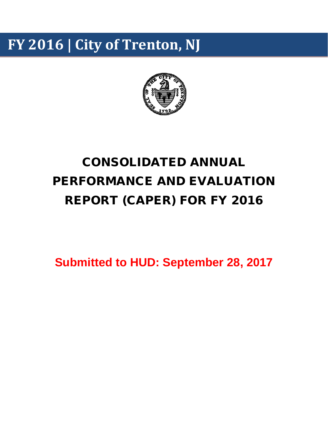# **FY 2016 | City of Trenton, NJ**



# CONSOLIDATED ANNUAL PERFORMANCE AND EVALUATION REPORT (CAPER) FOR FY 2016

**Submitted to HUD: September 28, 2017**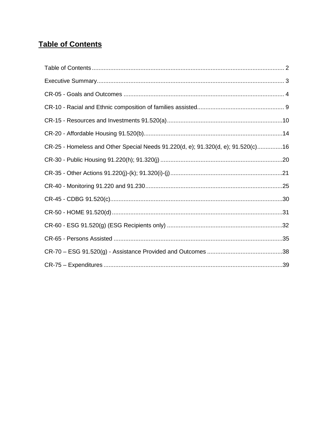# <span id="page-1-0"></span>**Table of Contents**

| CR-25 - Homeless and Other Special Needs 91.220(d, e); 91.320(d, e); 91.520(c)16 |  |
|----------------------------------------------------------------------------------|--|
|                                                                                  |  |
|                                                                                  |  |
|                                                                                  |  |
|                                                                                  |  |
|                                                                                  |  |
|                                                                                  |  |
|                                                                                  |  |
|                                                                                  |  |
|                                                                                  |  |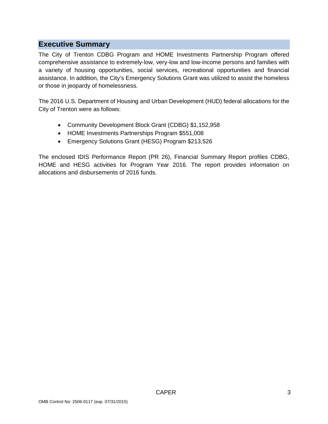# <span id="page-2-0"></span>**Executive Summary**

The City of Trenton CDBG Program and HOME Investments Partnership Program offered comprehensive assistance to extremely-low, very-low and low-income persons and families with a variety of housing opportunities, social services, recreational opportunities and financial assistance. In addition, the City's Emergency Solutions Grant was utilized to assist the homeless or those in jeopardy of homelessness.

The 2016 U.S. Department of Housing and Urban Development (HUD) federal allocations for the City of Trenton were as follows:

- Community Development Block Grant (CDBG) \$1,152,958
- HOME Investments Partnerships Program \$551,008
- Emergency Solutions Grant (HESG) Program \$213,526

The enclosed IDIS Performance Report (PR 26), Financial Summary Report profiles CDBG, HOME and HESG activities for Program Year 2016. The report provides information on allocations and disbursements of 2016 funds.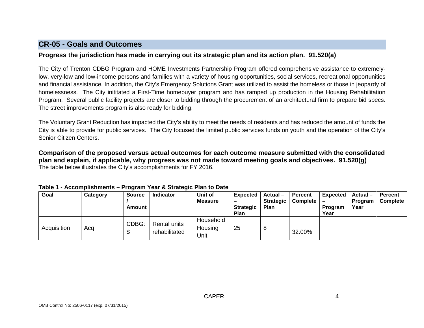# **CR-05 - Goals and Outcomes**

### **Progress the jurisdiction has made in carrying out its strategic plan and its action plan. 91.520(a)**

The City of Trenton CDBG Program and HOME Investments Partnership Program offered comprehensive assistance to extremelylow, very-low and low-income persons and families with a variety of housing opportunities, social services, recreational opportunities and financial assistance. In addition, the City's Emergency Solutions Grant was utilized to assist the homeless or those in jeopardy of homelessness. The City inititated a First-Time homebuyer program and has ramped up production in the Housing Rehabilitation Program. Several public facility projects are closer to bidding through the procurement of an architectural firm to prepare bid specs. The street improvements program is also ready for bidding.

The Voluntary Grant Reduction has impacted the City's ability to meet the needs of residents and has reduced the amount of funds the City is able to provide for public services. The City focused the limited public services funds on youth and the operation of the City's Senior Citizen Centers.

<span id="page-3-0"></span>**Comparison of the proposed versus actual outcomes for each outcome measure submitted with the consolidated plan and explain, if applicable, why progress was not made toward meeting goals and objectives. 91.520(g)** The table below illustrates the City's accomplishments for FY 2016.

| Goal        | Category | <b>Source</b><br>Amount | <b>Indicator</b>              | Unit of<br><b>Measure</b>    | Expected<br>-<br><b>Strategic</b><br>Plan | $Actual -$<br><b>Strategic</b><br>Plan | <b>Percent</b><br>Complete | <b>Expected</b><br>Program<br>Year | Actual –<br>Program<br>Year | <b>Percent</b><br>Complete |
|-------------|----------|-------------------------|-------------------------------|------------------------------|-------------------------------------------|----------------------------------------|----------------------------|------------------------------------|-----------------------------|----------------------------|
| Acquisition | Aca      | CDBG:<br>ጥ<br>D         | Rental units<br>rehabilitated | Household<br>Housing<br>Jnit | 25                                        | 8                                      | 32.00%                     |                                    |                             |                            |

### **Table 1 - Accomplishments – Program Year & Strategic Plan to Date**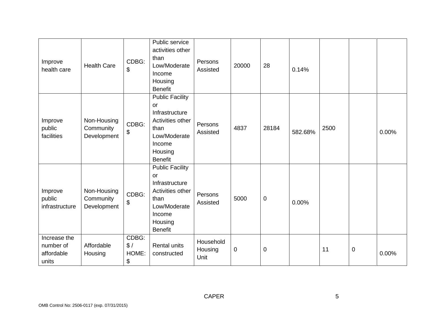| Improve<br>health care                           | <b>Health Care</b>                      | CDBG:<br>\$                 | Public service<br>activities other<br>than<br>Low/Moderate<br>Income<br>Housing<br><b>Benefit</b>                                        | Persons<br>Assisted          | 20000       | 28          | 0.14%   |      |   |       |
|--------------------------------------------------|-----------------------------------------|-----------------------------|------------------------------------------------------------------------------------------------------------------------------------------|------------------------------|-------------|-------------|---------|------|---|-------|
| Improve<br>public<br>facilities                  | Non-Housing<br>Community<br>Development | CDBG:<br>\$                 | <b>Public Facility</b><br>or<br>Infrastructure<br>Activities other<br>than<br>Low/Moderate<br>Income<br>Housing<br><b>Benefit</b>        | Persons<br>Assisted          | 4837        | 28184       | 582.68% | 2500 |   | 0.00% |
| Improve<br>public<br>infrastructure              | Non-Housing<br>Community<br>Development | CDBG:<br>\$                 | <b>Public Facility</b><br><b>or</b><br>Infrastructure<br>Activities other<br>than<br>Low/Moderate<br>Income<br>Housing<br><b>Benefit</b> | Persons<br>Assisted          | 5000        | $\pmb{0}$   | 0.00%   |      |   |       |
| Increase the<br>number of<br>affordable<br>units | Affordable<br>Housing                   | CDBG:<br>\$/<br>HOME:<br>\$ | <b>Rental units</b><br>constructed                                                                                                       | Household<br>Housing<br>Unit | $\mathbf 0$ | $\mathbf 0$ |         | 11   | 0 | 0.00% |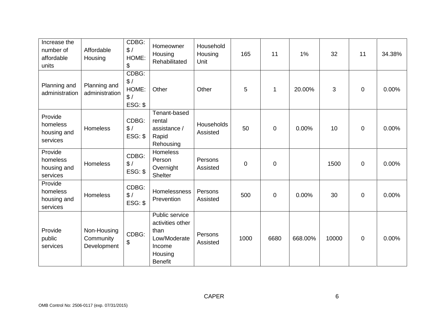| Increase the<br>number of<br>affordable<br>units | Affordable<br>Housing                   | CDBG:<br>\$/<br>HOME:<br>\$             | Homeowner<br>Housing<br>Rehabilitated                                                             | Household<br>Housing<br>Unit | 165         | 11           | 1%      | 32    | 11               | 34.38% |
|--------------------------------------------------|-----------------------------------------|-----------------------------------------|---------------------------------------------------------------------------------------------------|------------------------------|-------------|--------------|---------|-------|------------------|--------|
| Planning and<br>administration                   | Planning and<br>administration          | CDBG:<br>\$/<br>HOME:<br>\$/<br>ESG: \$ | Other                                                                                             | Other                        | 5           | $\mathbf{1}$ | 20.00%  | 3     | $\boldsymbol{0}$ | 0.00%  |
| Provide<br>homeless<br>housing and<br>services   | Homeless                                | CDBG:<br>\$/<br>ESG: \$                 | Tenant-based<br>rental<br>assistance /<br>Rapid<br>Rehousing                                      | Households<br>Assisted       | 50          | $\mathbf 0$  | 0.00%   | 10    | $\boldsymbol{0}$ | 0.00%  |
| Provide<br>homeless<br>housing and<br>services   | Homeless                                | CDBG:<br>\$/<br>ESG: \$                 | Homeless<br>Person<br>Overnight<br><b>Shelter</b>                                                 | Persons<br>Assisted          | $\mathbf 0$ | $\mathbf 0$  |         | 1500  | $\mathbf 0$      | 0.00%  |
| Provide<br>homeless<br>housing and<br>services   | Homeless                                | CDBG:<br>\$/<br>$ESG:$ \$               | Homelessness<br>Prevention                                                                        | Persons<br>Assisted          | 500         | $\mathbf 0$  | 0.00%   | 30    | $\boldsymbol{0}$ | 0.00%  |
| Provide<br>public<br>services                    | Non-Housing<br>Community<br>Development | CDBG:<br>\$                             | Public service<br>activities other<br>than<br>Low/Moderate<br>Income<br>Housing<br><b>Benefit</b> | Persons<br>Assisted          | 1000        | 6680         | 668.00% | 10000 | $\pmb{0}$        | 0.00%  |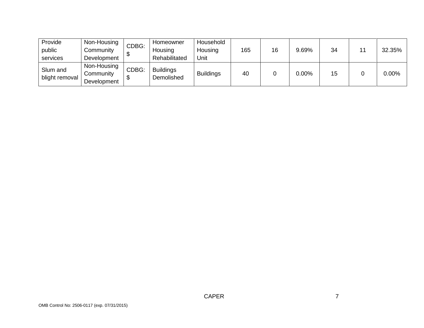| Provide        | Non-Housing | CDBG: | Homeowner        | Household        |     |    |          |    |    |          |
|----------------|-------------|-------|------------------|------------------|-----|----|----------|----|----|----------|
| public         | Community   |       | Housing          | Housing          | 165 | 16 | 9.69%    | 34 | 11 | 32.35%   |
| services       | Development |       | Rehabilitated    | Unit             |     |    |          |    |    |          |
| Slum and       | Non-Housing | CDBG: | <b>Buildings</b> |                  |     |    |          |    |    |          |
|                | Community   |       | Demolished       | <b>Buildings</b> | 40  |    | $0.00\%$ | 15 |    | $0.00\%$ |
| blight removal | Development |       |                  |                  |     |    |          |    |    |          |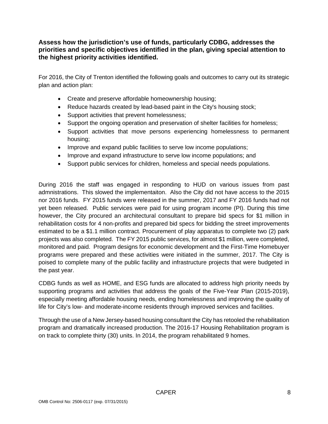### **Assess how the jurisdiction's use of funds, particularly CDBG, addresses the priorities and specific objectives identified in the plan, giving special attention to the highest priority activities identified.**

For 2016, the City of Trenton identified the following goals and outcomes to carry out its strategic plan and action plan:

- Create and preserve affordable homeownership housing;
- Reduce hazards created by lead-based paint in the City's housing stock;
- Support activities that prevent homelessness;
- Support the ongoing operation and preservation of shelter facilities for homeless;
- Support activities that move persons experiencing homelessness to permanent housing;
- Improve and expand public facilities to serve low income populations;
- Improve and expand infrastructure to serve low income populations; and
- Support public services for children, homeless and special needs populations.

During 2016 the staff was engaged in responding to HUD on various issues from past admnistrations. This slowed the implementaiton. Also the City did not have access to the 2015 nor 2016 funds. FY 2015 funds were released in the summer, 2017 and FY 2016 funds had not yet been released. Public services were paid for using program income (PI). During this time however, the City procured an architectural consultant to prepare bid specs for \$1 million in rehabilitation costs for 4 non-profits and prepared bid specs for bidding the street improvements estimated to be a \$1.1 million contract. Procurement of play apparatus to complete two (2) park projects was also completed. The FY 2015 public services, for almost \$1 million, were completed, monitored and paid. Program designs for economic development and the First-Time Homebuyer programs were prepared and these activities were initiated in the summer, 2017. The City is poised to complete many of the public facility and infrastructure projects that were budgeted in the past year.

CDBG funds as well as HOME, and ESG funds are allocated to address high priority needs by supporting programs and activities that address the goals of the Five-Year Plan (2015-2019), especially meeting affordable housing needs, ending homelessness and improving the quality of life for City's low- and moderate-income residents through improved services and facilities.

Through the use of a New Jersey-based housing consultant the City has retooled the rehabilitation program and dramatically increased production. The 2016-17 Housing Rehabilitation program is on track to complete thirty (30) units. In 2014, the program rehabilitated 9 homes.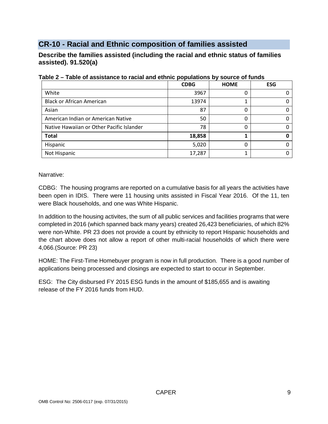# <span id="page-8-0"></span>**CR-10 - Racial and Ethnic composition of families assisted**

**Describe the families assisted (including the racial and ethnic status of families assisted). 91.520(a)** 

|                                           | <b>CDBG</b> | <b>HOME</b> | <b>ESG</b> |
|-------------------------------------------|-------------|-------------|------------|
| White                                     | 3967        |             |            |
| <b>Black or African American</b>          | 13974       |             |            |
| Asian                                     | 87          |             |            |
| American Indian or American Native        | 50          |             |            |
| Native Hawaiian or Other Pacific Islander | 78          |             |            |
| <b>Total</b>                              | 18,858      |             |            |
| Hispanic                                  | 5,020       |             |            |
| Not Hispanic                              | 17,287      |             |            |

### **Table 2 – Table of assistance to racial and ethnic populations by source of funds**

Narrative:

CDBG: The housing programs are reported on a cumulative basis for all years the activities have been open in IDIS. There were 11 housing units assisted in Fiscal Year 2016. Of the 11, ten were Black households, and one was White Hispanic.

In addition to the housing activites, the sum of all public services and facilities programs that were completed in 2016 (which spanned back many years) created 26,423 beneficiaries, of which 82% were non-White. PR 23 does not provide a count by ethnicity to report Hispanic households and the chart above does not allow a report of other multi-racial households of which there were 4,066.(Source: PR 23)

HOME: The First-Time Homebuyer program is now in full production. There is a good number of applications being processed and closings are expected to start to occur in September.

ESG: The City disbursed FY 2015 ESG funds in the amount of \$185,655 and is awaiting release of the FY 2016 funds from HUD.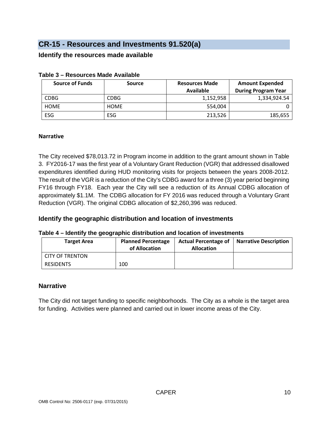# <span id="page-9-0"></span>**CR-15 - Resources and Investments 91.520(a)**

### **Identify the resources made available**

| <b>Source of Funds</b> | <b>Source</b> | <b>Resources Made</b> | <b>Amount Expended</b>     |
|------------------------|---------------|-----------------------|----------------------------|
|                        |               | <b>Available</b>      | <b>During Program Year</b> |
| <b>CDBG</b>            | <b>CDBG</b>   | 1,152,958             | 1.334.924.54               |
| <b>HOME</b>            | <b>HOME</b>   | 554.004               |                            |
| <b>ESG</b>             | ESG           | 213,526               | 185,655                    |

### **Table 3 – Resources Made Available**

### **Narrative**

The City received \$78,013.72 in Program income in addition to the grant amount shown in Table 3. FY2016-17 was the first year of a Voluntary Grant Reduction (VGR) that addressed disallowed expenditures identified during HUD monitoring visits for projects between the years 2008-2012. The result of the VGR is a reduction of the City's CDBG award for a three (3) year period beginning FY16 through FY18. Each year the City will see a reduction of its Annual CDBG allocation of approximately \$1.1M. The CDBG allocation for FY 2016 was reduced through a Voluntary Grant Reduction (VGR). The original CDBG allocation of \$2,260,396 was reduced.

# **Identify the geographic distribution and location of investments**

### **Table 4 – Identify the geographic distribution and location of investments**

| <b>Target Area</b> | <b>Planned Percentage</b><br>of Allocation | <b>Actual Percentage of</b><br><b>Allocation</b> | <b>Narrative Description</b> |
|--------------------|--------------------------------------------|--------------------------------------------------|------------------------------|
| CITY OF TRENTON    |                                            |                                                  |                              |
| <b>RESIDENTS</b>   | 100                                        |                                                  |                              |

### **Narrative**

The City did not target funding to specific neighborhoods. The City as a whole is the target area for funding. Activities were planned and carried out in lower income areas of the City.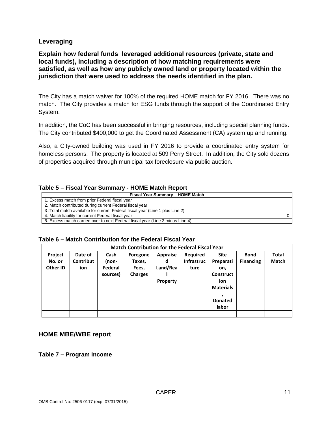### **Leveraging**

**Explain how federal funds leveraged additional resources (private, state and local funds), including a description of how matching requirements were satisfied, as well as how any publicly owned land or property located within the jurisdiction that were used to address the needs identified in the plan.**

The City has a match waiver for 100% of the required HOME match for FY 2016. There was no match. The City provides a match for ESG funds through the support of the Coordinated Entry System.

In addition, the CoC has been successful in bringing resources, including special planning funds. The City contributed \$400,000 to get the Coordinated Assessment (CA) system up and running.

Also, a City-owned building was used in FY 2016 to provide a coordinated entry system for homeless persons. The property is located at 509 Perry Street. In addition, the City sold dozens of properties acquired through municipal tax foreclosure via public auction.

#### **Table 5 – Fiscal Year Summary - HOME Match Report**

| Fiscal Year Summary - HOME Match                                               |  |  |  |  |  |  |
|--------------------------------------------------------------------------------|--|--|--|--|--|--|
| 1. Excess match from prior Federal fiscal year                                 |  |  |  |  |  |  |
| 2. Match contributed during current Federal fiscal year                        |  |  |  |  |  |  |
| 3. Total match available for current Federal fiscal year (Line 1 plus Line 2)  |  |  |  |  |  |  |
| 4. Match liability for current Federal fiscal year                             |  |  |  |  |  |  |
| 5. Excess match carried over to next Federal fiscal year (Line 3 minus Line 4) |  |  |  |  |  |  |

| Table 6 – Match Contribution for the Federal Fiscal Year |  |
|----------------------------------------------------------|--|
|----------------------------------------------------------|--|

| <b>Match Contribution for the Federal Fiscal Year</b> |           |          |                |                 |                   |                  |                  |              |  |
|-------------------------------------------------------|-----------|----------|----------------|-----------------|-------------------|------------------|------------------|--------------|--|
| Project                                               | Date of   | Cash     | Foregone       | <b>Appraise</b> | Required          | <b>Site</b>      | <b>Bond</b>      | <b>Total</b> |  |
| No. or                                                | Contribut | (non-    | Taxes,         | d               | <b>Infrastruc</b> | Preparati        | <b>Financing</b> | <b>Match</b> |  |
| Other ID                                              | ion       | Federal  | Fees,          | Land/Rea        | ture              | on,              |                  |              |  |
|                                                       |           | sources) | <b>Charges</b> |                 |                   | <b>Construct</b> |                  |              |  |
|                                                       |           |          |                | Property        |                   | ion              |                  |              |  |
|                                                       |           |          |                |                 |                   | <b>Materials</b> |                  |              |  |
|                                                       |           |          |                |                 |                   |                  |                  |              |  |
|                                                       |           |          |                |                 |                   | <b>Donated</b>   |                  |              |  |
|                                                       |           |          |                |                 |                   | labor            |                  |              |  |
|                                                       |           |          |                |                 |                   |                  |                  |              |  |

### **HOME MBE/WBE report**

**Table 7 – Program Income**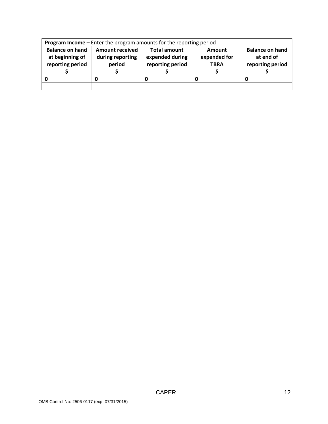| Program Income - Enter the program amounts for the reporting period |                                                      |                                                            |                                       |                                                         |  |  |  |  |
|---------------------------------------------------------------------|------------------------------------------------------|------------------------------------------------------------|---------------------------------------|---------------------------------------------------------|--|--|--|--|
| <b>Balance on hand</b><br>at beginning of<br>reporting period       | <b>Amount received</b><br>during reporting<br>period | <b>Total amount</b><br>expended during<br>reporting period | Amount<br>expended for<br><b>TBRA</b> | <b>Balance on hand</b><br>at end of<br>reporting period |  |  |  |  |
|                                                                     |                                                      |                                                            |                                       |                                                         |  |  |  |  |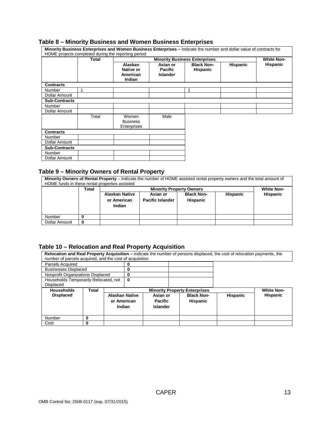#### **Table 8 – Minority Business and Women Business Enterprises**

|                      |              | Minority Business Enterprises and Women Business Enterprises - Indicate the number and dollar value of contracts for |                                               |                                      |                 |                 |
|----------------------|--------------|----------------------------------------------------------------------------------------------------------------------|-----------------------------------------------|--------------------------------------|-----------------|-----------------|
|                      |              | HOME projects completed during the reporting period                                                                  |                                               |                                      |                 |                 |
|                      | <b>Total</b> |                                                                                                                      | <b>White Non-</b>                             |                                      |                 |                 |
|                      |              | <b>Alaskan</b><br>Native or<br>American<br><b>Indian</b>                                                             | Asian or<br><b>Pacific</b><br><b>Islander</b> | <b>Black Non-</b><br><b>Hispanic</b> | <b>Hispanic</b> | <b>Hispanic</b> |
| <b>Contracts</b>     |              |                                                                                                                      |                                               |                                      |                 |                 |
| Number               | 1            |                                                                                                                      |                                               | 1                                    |                 |                 |
| Dollar Amount        |              |                                                                                                                      |                                               |                                      |                 |                 |
| <b>Sub-Contracts</b> |              |                                                                                                                      |                                               |                                      |                 |                 |
| Number               |              |                                                                                                                      |                                               |                                      |                 |                 |
| Dollar Amount        |              |                                                                                                                      |                                               |                                      |                 |                 |
|                      | Total        | Women<br><b>Business</b><br>Enterprises                                                                              | Male                                          |                                      |                 |                 |
| <b>Contracts</b>     |              |                                                                                                                      |                                               |                                      |                 |                 |
| Number               |              |                                                                                                                      |                                               |                                      |                 |                 |
| Dollar Amount        |              |                                                                                                                      |                                               |                                      |                 |                 |
| <b>Sub-Contracts</b> |              |                                                                                                                      |                                               |                                      |                 |                 |
| <b>Number</b>        |              |                                                                                                                      |                                               |                                      |                 |                 |
| Dollar Amount        |              |                                                                                                                      |                                               |                                      |                 |                 |

#### **Table 9 – Minority Owners of Rental Property**

**Minority Owners of Rental Property** – Indicate the number of HOME assisted rental property owners and the total amount of HOME funds in these rental properties assisted

|               | Total |                                                | <b>White Non-</b>                   |                                      |                 |                 |
|---------------|-------|------------------------------------------------|-------------------------------------|--------------------------------------|-----------------|-----------------|
|               |       | <b>Alaskan Native</b><br>or American<br>Indian | Asian or<br><b>Pacific Islander</b> | <b>Black Non-</b><br><b>Hispanic</b> | <b>Hispanic</b> | <b>Hispanic</b> |
| Number        |       |                                                |                                     |                                      |                 |                 |
| Dollar Amount | 0     |                                                |                                     |                                      |                 |                 |

### **Table 10 – Relocation and Real Property Acquisition**

**Relocation and Real Property Acquisition –** Indicate the number of persons displaced, the cost of relocation payments, the number of parcels acquired, and the cost of acquisition

| <u>Hambor or paroolo abguirou, and the obot or abguiolitori</u> |                                   |                       |   |                 |                                      |                 |                   |
|-----------------------------------------------------------------|-----------------------------------|-----------------------|---|-----------------|--------------------------------------|-----------------|-------------------|
| Parcels Acquired                                                |                                   |                       |   |                 |                                      |                 |                   |
| <b>Businesses Displaced</b>                                     |                                   |                       |   |                 |                                      |                 |                   |
|                                                                 | Nonprofit Organizations Displaced |                       |   |                 |                                      |                 |                   |
| Households Temporarily Relocated, not                           |                                   |                       | 0 |                 |                                      |                 |                   |
| Displaced                                                       |                                   |                       |   |                 |                                      |                 |                   |
| <b>Households</b>                                               | Total                             |                       |   |                 | <b>Minority Property Enterprises</b> |                 | <b>White Non-</b> |
| <b>Displaced</b>                                                |                                   | <b>Alaskan Native</b> |   | Asian or        | <b>Black Non-</b>                    | <b>Hispanic</b> | <b>Hispanic</b>   |
|                                                                 |                                   | or American           |   | <b>Pacific</b>  | <b>Hispanic</b>                      |                 |                   |
|                                                                 |                                   | Indian                |   | <b>Islander</b> |                                      |                 |                   |
|                                                                 |                                   |                       |   |                 |                                      |                 |                   |
| Number                                                          | 0                                 |                       |   |                 |                                      |                 |                   |
| Cost                                                            | 0                                 |                       |   |                 |                                      |                 |                   |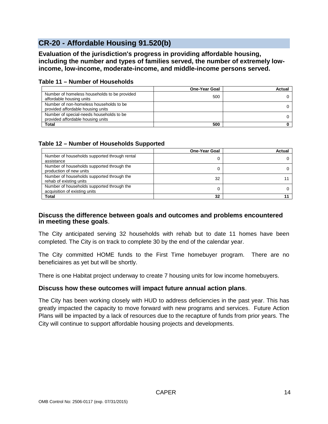# <span id="page-13-0"></span>**CR-20 - Affordable Housing 91.520(b)**

**Evaluation of the jurisdiction's progress in providing affordable housing, including the number and types of families served, the number of extremely lowincome, low-income, moderate-income, and middle-income persons served.**

|                                                                               | <b>One-Year Goal</b> | Actual |
|-------------------------------------------------------------------------------|----------------------|--------|
| Number of homeless households to be provided<br>affordable housing units      | 500                  |        |
| Number of non-homeless households to be<br>provided affordable housing units  |                      |        |
| Number of special-needs households to be<br>provided affordable housing units |                      |        |
| <b>Total</b>                                                                  | 500                  |        |

#### **Table 11 – Number of Households**

### **Table 12 – Number of Households Supported**

|                                                                             | <b>One-Year Goal</b> | Actua |
|-----------------------------------------------------------------------------|----------------------|-------|
| Number of households supported through rental<br>assistance                 |                      |       |
| Number of households supported through the<br>production of new units       |                      |       |
| Number of households supported through the<br>rehab of existing units       | 32                   |       |
| Number of households supported through the<br>acquisition of existing units |                      |       |
| <b>Total</b>                                                                | 32                   |       |

### **Discuss the difference between goals and outcomes and problems encountered in meeting these goals**.

The City anticipated serving 32 households with rehab but to date 11 homes have been completed. The City is on track to complete 30 by the end of the calendar year.

The City committed HOME funds to the First Time homebuyer program. There are no beneficiaires as yet but will be shortly.

There is one Habitat project underway to create 7 housing units for low income homebuyers.

### **Discuss how these outcomes will impact future annual action plans**.

The City has been working closely with HUD to address deficiencies in the past year. This has greatly impacted the capacity to move forward with new programs and services. Future Action Plans will be impacted by a lack of resources due to the recapture of funds from prior years. The City will continue to support affordable housing projects and developments.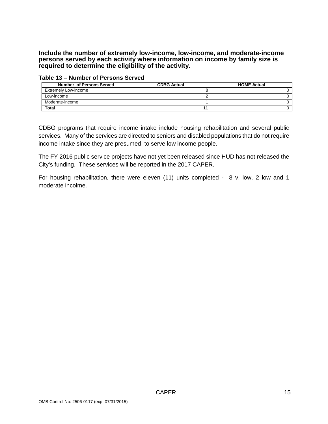**Include the number of extremely low-income, low-income, and moderate-income persons served by each activity where information on income by family size is required to determine the eligibility of the activity.**

| <b>Number of Persons Served</b> | <b>CDBG Actual</b> | <b>HOME Actual</b> |
|---------------------------------|--------------------|--------------------|
| <b>Extremely Low-income</b>     |                    |                    |
| Low-income                      |                    |                    |
| Moderate-income                 |                    |                    |
| <b>Total</b>                    |                    |                    |

**Table 13 – Number of Persons Served**

CDBG programs that require income intake include housing rehabilitation and several public services. Many of the services are directed to seniors and disabled populations that do not require income intake since they are presumed to serve low income people.

The FY 2016 public service projects have not yet been released since HUD has not released the City's funding. These services will be reported in the 2017 CAPER.

For housing rehabilitation, there were eleven (11) units completed - 8 v. low, 2 low and 1 moderate incolme.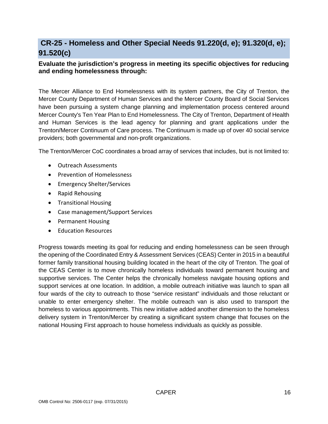# <span id="page-15-0"></span>**CR-25 - Homeless and Other Special Needs 91.220(d, e); 91.320(d, e); 91.520(c)**

# **Evaluate the jurisdiction's progress in meeting its specific objectives for reducing and ending homelessness through:**

The Mercer Alliance to End Homelessness with its system partners, the City of Trenton, the Mercer County Department of Human Services and the Mercer County Board of Social Services have been pursuing a system change planning and implementation process centered around Mercer County's Ten Year Plan to End Homelessness. The City of Trenton, Department of Health and Human Services is the lead agency for planning and grant applications under the Trenton/Mercer Continuum of Care process. The Continuum is made up of over 40 social service providers; both governmental and non-profit organizations.

The Trenton/Mercer CoC coordinates a broad array of services that includes, but is not limited to:

- Outreach Assessments
- Prevention of Homelessness
- Emergency Shelter/Services
- Rapid Rehousing
- Transitional Housing
- Case management/Support Services
- Permanent Housing
- Education Resources

Progress towards meeting its goal for reducing and ending homelessness can be seen through the opening of the Coordinated Entry & Assessment Services (CEAS) Center in 2015 in a beautiful former family transitional housing building located in the heart of the city of Trenton. The goal of the CEAS Center is to move chronically homeless individuals toward permanent housing and supportive services. The Center helps the chronically homeless navigate housing options and support services at one location. In addition, a mobile outreach initiative was launch to span all four wards of the city to outreach to those "service resistant" individuals and those reluctant or unable to enter emergency shelter. The mobile outreach van is also used to transport the homeless to various appointments. This new initiative added another dimension to the homeless delivery system in Trenton/Mercer by creating a significant system change that focuses on the national Housing First approach to house homeless individuals as quickly as possible.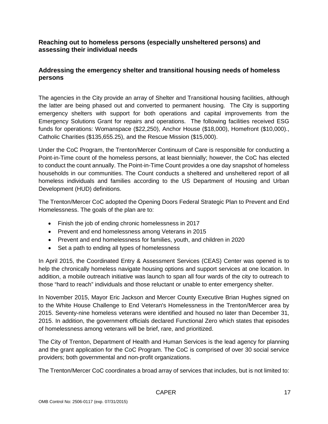### **Reaching out to homeless persons (especially unsheltered persons) and assessing their individual needs**

### **Addressing the emergency shelter and transitional housing needs of homeless persons**

The agencies in the City provide an array of Shelter and Transitional housing facilities, although the latter are being phased out and converted to permanent housing. The City is supporting emergency shelters with support for both operations and capital improvements from the Emergency Solutions Grant for repairs and operations. The following facilities received ESG funds for operations: Womanspace (\$22,250), Anchor House (\$18,000), Homefront (\$10,000)., Catholic Charities (\$135,655.25), and the Rescue Mission (\$15,000).

Under the CoC Program, the Trenton/Mercer Continuum of Care is responsible for conducting a Point-in-Time count of the homeless persons, at least biennially; however, the CoC has elected to conduct the count annually. The Point-in-Time Count provides a one day snapshot of homeless households in our communities. The Count conducts a sheltered and unsheltered report of all homeless individuals and families according to the US Department of Housing and Urban Development (HUD) definitions.

The Trenton/Mercer CoC adopted the Opening Doors Federal Strategic Plan to Prevent and End Homelessness. The goals of the plan are to:

- Finish the job of ending chronic homelessness in 2017
- Prevent and end homelessness among Veterans in 2015
- Prevent and end homelessness for families, youth, and children in 2020
- Set a path to ending all types of homelessness

In April 2015, the Coordinated Entry & Assessment Services (CEAS) Center was opened is to help the chronically homeless navigate housing options and support services at one location. In addition, a mobile outreach initiative was launch to span all four wards of the city to outreach to those "hard to reach" individuals and those reluctant or unable to enter emergency shelter.

In November 2015, Mayor Eric Jackson and Mercer County Executive Brian Hughes signed on to the White House Challenge to End Veteran's Homelessness in the Trenton/Mercer area by 2015. Seventy-nine homeless veterans were identified and housed no later than December 31, 2015. In addition, the government officials declared Functional Zero which states that episodes of homelessness among veterans will be brief, rare, and prioritized.

The City of Trenton, Department of Health and Human Services is the lead agency for planning and the grant application for the CoC Program. The CoC is comprised of over 30 social service providers; both governmental and non-profit organizations.

The Trenton/Mercer CoC coordinates a broad array of services that includes, but is not limited to: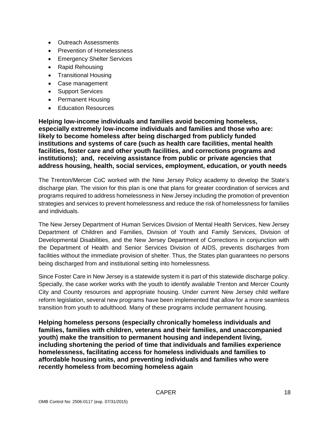- Outreach Assessments
- Prevention of Homelessness
- Emergency Shelter Services
- Rapid Rehousing
- Transitional Housing
- Case management
- Support Services
- Permanent Housing
- Education Resources

**Helping low-income individuals and families avoid becoming homeless, especially extremely low-income individuals and families and those who are: likely to become homeless after being discharged from publicly funded institutions and systems of care (such as health care facilities, mental health facilities, foster care and other youth facilities, and corrections programs and institutions); and, receiving assistance from public or private agencies that address housing, health, social services, employment, education, or youth needs**

The Trenton/Mercer CoC worked with the New Jersey Policy academy to develop the State's discharge plan. The vision for this plan is one that plans for greater coordination of services and programs required to address homelessness in New Jersey including the promotion of prevention strategies and services to prevent homelessness and reduce the risk of homelessness for families and individuals.

The New Jersey Department of Human Services Division of Mental Health Services, New Jersey Department of Children and Families, Division of Youth and Family Services, Division of Developmental Disabilities, and the New Jersey Department of Corrections in conjunction with the Department of Health and Senior Services Division of AIDS, prevents discharges from facilities without the immediate provision of shelter. Thus, the States plan guarantees no persons being discharged from and institutional setting into homelessness.

Since Foster Care in New Jersey is a statewide system it is part of this statewide discharge policy. Specially, the case worker works with the youth to identify available Trenton and Mercer County City and County resources and appropriate housing. Under current New Jersey child welfare reform legislation, several new programs have been implemented that allow for a more seamless transition from youth to adulthood. Many of these programs include permanent housing.

**Helping homeless persons (especially chronically homeless individuals and families, families with children, veterans and their families, and unaccompanied youth) make the transition to permanent housing and independent living, including shortening the period of time that individuals and families experience homelessness, facilitating access for homeless individuals and families to affordable housing units, and preventing individuals and families who were recently homeless from becoming homeless again**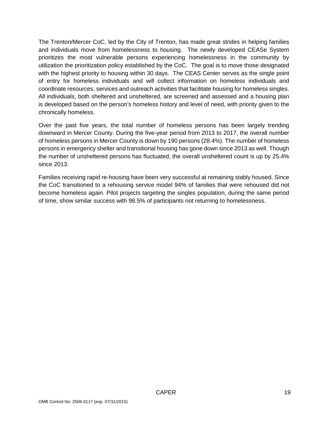The Trenton/Mercer CoC, led by the City of Trenton, has made great strides in helping families and individuals move from homelessness to housing. The newly developed CEASe System prioritizes the most vulnerable persons experiencing homelessness in the community by utilization the prioritization policy established by the CoC. The goal is to move those designated with the highest priority to housing within 30 days. The CEAS Center serves as the single point of entry for homeless individuals and will collect information on homeless individuals and coordinate resources, services and outreach activities that facilitate housing for homeless singles. All individuals, both sheltered and unsheltered, are screened and assessed and a housing plan is developed based on the person's homeless history and level of need, with priority given to the chronically homeless.

Over the past five years, the total number of homeless persons has been largely trending downward in Mercer County. During the five-year period from 2013 to 2017, the overall number of homeless persons in Mercer County is down by 190 persons (28.4%). The number of homeless persons in emergency shelter and transitional housing has gone down since 2013 as well. Though the number of unsheltered persons has fluctuated, the overall unsheltered count is up by 25.4% since 2013.

Families receiving rapid re-housing have been very successful at remaining stably housed. Since the CoC transitioned to a rehousing service model 94% of families that were rehoused did not become homeless again. Pilot projects targeting the singles population, during the same period of time, show similar success with 98.5% of participants not returning to homelessness.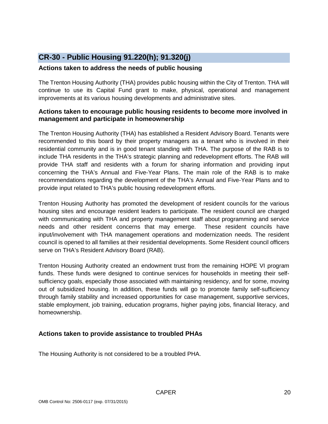# <span id="page-19-0"></span>**CR-30 - Public Housing 91.220(h); 91.320(j)**

### **Actions taken to address the needs of public housing**

The Trenton Housing Authority (THA) provides public housing within the City of Trenton. THA will continue to use its Capital Fund grant to make, physical, operational and management improvements at its various housing developments and administrative sites.

### **Actions taken to encourage public housing residents to become more involved in management and participate in homeownership**

The Trenton Housing Authority (THA) has established a Resident Advisory Board. Tenants were recommended to this board by their property managers as a tenant who is involved in their residential community and is in good tenant standing with THA. The purpose of the RAB is to include THA residents in the THA's strategic planning and redevelopment efforts. The RAB will provide THA staff and residents with a forum for sharing information and providing input concerning the THA's Annual and Five-Year Plans. The main role of the RAB is to make recommendations regarding the development of the THA's Annual and Five-Year Plans and to provide input related to THA's public housing redevelopment efforts.

Trenton Housing Authority has promoted the development of resident councils for the various housing sites and encourage resident leaders to participate. The resident council are charged with communicating with THA and property management staff about programming and service needs and other resident concerns that may emerge. These resident councils have input/involvement with THA management operations and modernization needs. The resident council is opened to all families at their residential developments. Some Resident council officers serve on THA's Resident Advisory Board (RAB).

Trenton Housing Authority created an endowment trust from the remaining HOPE VI program funds. These funds were designed to continue services for households in meeting their selfsufficiency goals, especially those associated with maintaining residency, and for some, moving out of subsidized housing. In addition, these funds will go to promote family self-sufficiency through family stability and increased opportunities for case management, supportive services, stable employment, job training, education programs, higher paying jobs, financial literacy, and homeownership.

# **Actions taken to provide assistance to troubled PHAs**

The Housing Authority is not considered to be a troubled PHA.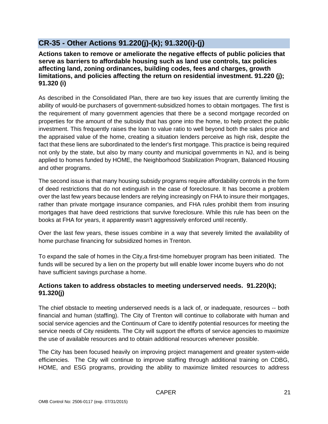# <span id="page-20-0"></span>**CR-35 - Other Actions 91.220(j)-(k); 91.320(i)-(j)**

**Actions taken to remove or ameliorate the negative effects of public policies that serve as barriers to affordable housing such as land use controls, tax policies affecting land, zoning ordinances, building codes, fees and charges, growth limitations, and policies affecting the return on residential investment. 91.220 (j); 91.320 (i)**

As described in the Consolidated Plan, there are two key issues that are currently limiting the ability of would-be purchasers of government-subsidized homes to obtain mortgages. The first is the requirement of many government agencies that there be a second mortgage recorded on properties for the amount of the subsidy that has gone into the home, to help protect the public investment. This frequently raises the loan to value ratio to well beyond both the sales price and the appraised value of the home, creating a situation lenders perceive as high risk, despite the fact that these liens are subordinated to the lender's first mortgage. This practice is being required not only by the state, but also by many county and municipal governments in NJ, and is being applied to homes funded by HOME, the Neighborhood Stabilization Program, Balanced Housing and other programs.

The second issue is that many housing subsidy programs require affordability controls in the form of deed restrictions that do not extinguish in the case of foreclosure. It has become a problem over the last few years because lenders are relying increasingly on FHA to insure their mortgages, rather than private mortgage insurance companies, and FHA rules prohibit them from insuring mortgages that have deed restrictions that survive foreclosure. While this rule has been on the books at FHA for years, it apparently wasn't aggressively enforced until recently.

Over the last few years, these issues combine in a way that severely limited the availability of home purchase financing for subsidized homes in Trenton.

To expand the sale of homes in the City,a first-time homebuyer program has been initiated. The funds will be secured by a lien on the property but will enable lower income buyers who do not have sufficient savings purchase a home.

### **Actions taken to address obstacles to meeting underserved needs. 91.220(k); 91.320(j)**

The chief obstacle to meeting underserved needs is a lack of, or inadequate, resources -- both financial and human (staffing). The City of Trenton will continue to collaborate with human and social service agencies and the Continuum of Care to identify potential resources for meeting the service needs of City residents. The City will support the efforts of service agencies to maximize the use of available resources and to obtain additional resources whenever possible.

The City has been focused heavily on improving project management and greater system-wide efficiencies. The City will continue to improve staffing through additional training on CDBG, HOME, and ESG programs, providing the ability to maximize limited resources to address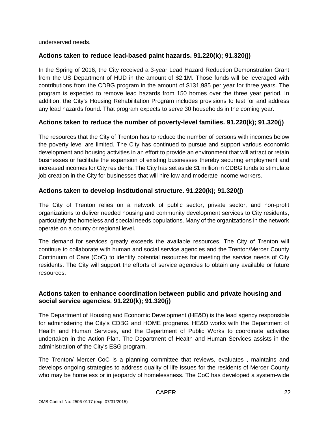underserved needs.

### **Actions taken to reduce lead-based paint hazards. 91.220(k); 91.320(j)**

In the Spring of 2016, the City received a 3-year Lead Hazard Reduction Demonstration Grant from the US Department of HUD in the amount of \$2.1M. Those funds will be leveraged with contributions from the CDBG program in the amount of \$131,985 per year for three years. The program is expected to remove lead hazards from 150 homes over the three year period. In addition, the City's Housing Rehabilitation Program includes provisions to test for and address any lead hazards found. That program expects to serve 30 households in the coming year.

### **Actions taken to reduce the number of poverty-level families. 91.220(k); 91.320(j)**

The resources that the City of Trenton has to reduce the number of persons with incomes below the poverty level are limited. The City has continued to pursue and support various economic development and housing activities in an effort to provide an environment that will attract or retain businesses or facilitate the expansion of existing businesses thereby securing employment and increased incomes for City residents. The City has set aside \$1 million in CDBG funds to stimulate job creation in the City for businesses that will hire low and moderate income workers.

### **Actions taken to develop institutional structure. 91.220(k); 91.320(j)**

The City of Trenton relies on a network of public sector, private sector, and non-profit organizations to deliver needed housing and community development services to City residents, particularly the homeless and special needs populations. Many of the organizations in the network operate on a county or regional level.

The demand for services greatly exceeds the available resources. The City of Trenton will continue to collaborate with human and social service agencies and the Trenton/Mercer County Continuum of Care (CoC) to identify potential resources for meeting the service needs of City residents. The City will support the efforts of service agencies to obtain any available or future resources.

### **Actions taken to enhance coordination between public and private housing and social service agencies. 91.220(k); 91.320(j)**

The Department of Housing and Economic Development (HE&D) is the lead agency responsible for administering the City's CDBG and HOME programs. HE&D works with the Department of Health and Human Services, and the Department of Public Works to coordinate activities undertaken in the Action Plan. The Department of Health and Human Services assists in the administration of the City's ESG program.

The Trenton/ Mercer CoC is a planning committee that reviews, evaluates , maintains and develops ongoing strategies to address quality of life issues for the residents of Mercer County who may be homeless or in jeopardy of homelessness. The CoC has developed a system-wide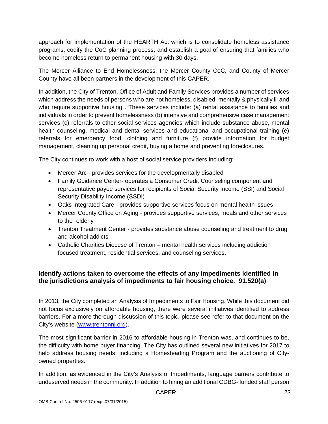approach for implementation of the HEARTH Act which is to consolidate homeless assistance programs, codify the CoC planning process, and establish a goal of ensuring that families who become homeless return to permanent housing with 30 days.

The Mercer Alliance to End Homelessness, the Mercer County CoC, and County of Mercer County have all been partners in the development of this CAPER.

In addition, the City of Trenton, Office of Adult and Family Services provides a number of services which address the needs of persons who are not homeless, disabled, mentally & physically ill and who require supportive housing . These services include: (a) rental assistance to families and individuals in order to prevent homelessness (b) intensive and comprehensive case management services (c) referrals to other social services agencies which include substance abuse, mental health counseling, medical and dental services and educational and occupational training (e) referrals for emergency food, clothing and furniture (f) provide information for budget management, cleaning up personal credit, buying a home and preventing foreclosures.

The City continues to work with a host of social service providers including:

- Mercer Arc provides services for the developmentally disabled
- Family Guidance Center- operates a Consumer Credit Counseling component and representative payee services for recipients of Social Security Income (SSI) and Social Security Disability Income (SSDI)
- Oaks Integrated Care provides supportive services focus on mental health issues
- Mercer County Office on Aging provides supportive services, meals and other services to the ·elderly
- Trenton Treatment Center provides substance abuse counseling and treatment to drug and alcohol addicts
- Catholic Charities Diocese of Trenton mental health services including addiction focused treatment, residential services, and counseling services.

### **Identify actions taken to overcome the effects of any impediments identified in the jurisdictions analysis of impediments to fair housing choice. 91.520(a)**

In 2013, the City completed an Analysis of Impediments to Fair Housing. While this document did not focus exclusively on affordable housing, there were several initiatives identified to address barriers. For a more thorough discussion of this topic, please see refer to that document on the City's website [\(www.trentonnj.org\)](http://www.trentonnj.org/).

The most significant barrier in 2016 to affordable housing in Trenton was, and continues to be, the difficulty with home buyer financing. The City has outlined several new initiatives for 2017 to help address housing needs, including a Homesteading Program and the auctioning of Cityowned properties.

In addition, as evidenced in the City's Analysis of Impediments, language barriers contribute to undeserved needs in the community. In addition to hiring an additional CDBG- funded staff person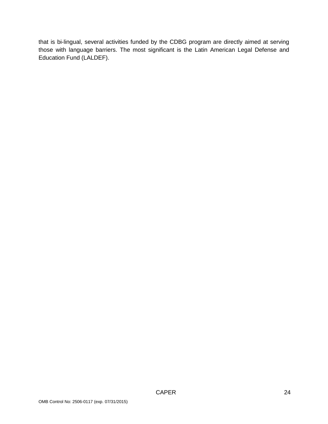that is bi-lingual, several activities funded by the CDBG program are directly aimed at serving those with language barriers. The most significant is the Latin American Legal Defense and Education Fund (LALDEF).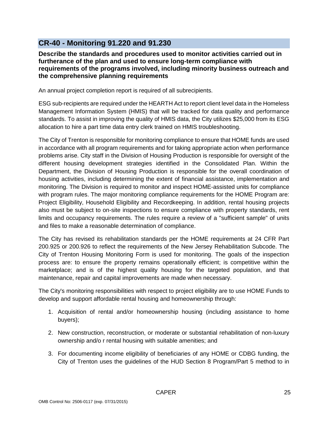# <span id="page-24-0"></span>**CR-40 - Monitoring 91.220 and 91.230**

### **Describe the standards and procedures used to monitor activities carried out in furtherance of the plan and used to ensure long-term compliance with requirements of the programs involved, including minority business outreach and the comprehensive planning requirements**

An annual project completion report is required of all subrecipients.

ESG sub-recipients are required under the HEARTH Act to report client level data in the Homeless Management Information System (HMIS) that will be tracked for data quality and performance standards. To assist in improving the quality of HMIS data, the City utilizes \$25,000 from its ESG allocation to hire a part time data entry clerk trained on HMIS troubleshooting.

The City of Trenton is responsible for monitoring compliance to ensure that HOME funds are used in accordance with all program requirements and for taking appropriate action when performance problems arise. City staff in the Division of Housing Production is responsible for oversight of the different housing development strategies identified in the Consolidated Plan. Within the Department, the Division of Housing Production is responsible for the overall coordination of housing activities, including determining the extent of financial assistance, implementation and monitoring. The Division is required to monitor and inspect HOME-assisted units for compliance with program rules. The major monitoring compliance requirements for the HOME Program are: Project Eligibility, Household Eligibility and Recordkeeping. In addition, rental housing projects also must be subject to on-site inspections to ensure compliance with property standards, rent limits and occupancy requirements. The rules require a review of a "sufficient sample" of units and files to make a reasonable determination of compliance.

The City has revised its rehabilitation standards per the HOME requirements at 24 CFR Part 200.925 or 200.926 to reflect the requirements of the New Jersey Rehabilitation Subcode. The City of Trenton Housing Monitoring Form is used for monitoring. The goals of the inspection process are: to ensure the property remains operationally efficient; is competitive within the marketplace; and is of the highest quality housing for the targeted population, and that maintenance, repair and capital improvements are made when necessary.

The City's monitoring responsibilities with respect to project eligibility are to use HOME Funds to develop and support affordable rental housing and homeownership through:

- 1. Acquisition of rental and/or homeownership housing (including assistance to home buyers);
- 2. New construction, reconstruction, or moderate or substantial rehabilitation of non-luxury ownership and/o r rental housing with suitable amenities; and
- 3. For documenting income eligibility of beneficiaries of any HOME or CDBG funding, the City of Trenton uses the guidelines of the HUD Section 8 Program/Part 5 method to in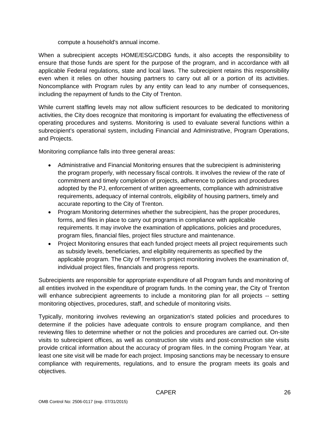compute a household's annual income.

When a subrecipient accepts HOME/ESG/CDBG funds, it also accepts the responsibility to ensure that those funds are spent for the purpose of the program, and in accordance with all applicable Federal regulations, state and local laws. The subrecipient retains this responsibility even when it relies on other housing partners to carry out all or a portion of its activities. Noncompliance with Program rules by any entity can lead to any number of consequences, including the repayment of funds to the City of Trenton.

While current staffing levels may not allow sufficient resources to be dedicated to monitoring activities, the City does recognize that monitoring is important for evaluating the effectiveness of operating procedures and systems. Monitoring is used to evaluate several functions within a subrecipient's operational system, including Financial and Administrative, Program Operations, and Projects.

Monitoring compliance falls into three general areas:

- Administrative and Financial Monitoring ensures that the subrecipient is administering the program properly, with necessary fiscal controls. It involves the review of the rate of commitment and timely completion of projects, adherence to policies and procedures adopted by the PJ, enforcement of written agreements, compliance with administrative requirements, adequacy of internal controls, eligibility of housing partners, timely and accurate reporting to the City of Trenton.
- Program Monitoring determines whether the subrecipient, has the proper procedures, forms, and files in place to carry out programs in compliance with applicable requirements. It may involve the examination of applications, policies and procedures, program files, financial files, project files structure and maintenance.
- Project Monitoring ensures that each funded project meets all project requirements such as subsidy levels, beneficiaries, and eligibility requirements as specified by the applicable program. The City of Trenton's project monitoring involves the examination of, individual project files, financials and progress reports.

Subrecipients are responsible for appropriate expenditure of all Program funds and monitoring of all entities involved in the expenditure of program funds. In the coming year, the City of Trenton will enhance subrecipient agreements to include a monitoring plan for all projects -- setting monitoring objectives, procedures, staff, and schedule of monitoring visits.

Typically, monitoring involves reviewing an organization's stated policies and procedures to determine if the policies have adequate controls to ensure program compliance, and then reviewing files to determine whether or not the policies and procedures are carried out. On-site visits to subrecipient offices, as well as construction site visits and post-construction site visits provide critical information about the accuracy of program files. In the coming Program Year, at least one site visit will be made for each project. Imposing sanctions may be necessary to ensure compliance with requirements, regulations, and to ensure the program meets its goals and objectives.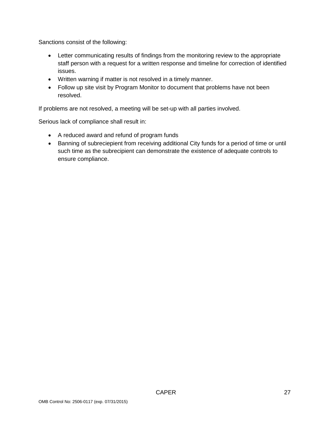Sanctions consist of the following:

- Letter communicating results of findings from the monitoring review to the appropriate staff person with a request for a written response and timeline for correction of identified issues.
- Written warning if matter is not resolved in a timely manner.
- Follow up site visit by Program Monitor to document that problems have not been resolved.

If problems are not resolved, a meeting will be set-up with all parties involved.

Serious lack of compliance shall result in:

- A reduced award and refund of program funds
- Banning of subreciepient from receiving additional City funds for a period of time or until such time as the subrecipient can demonstrate the existence of adequate controls to ensure compliance.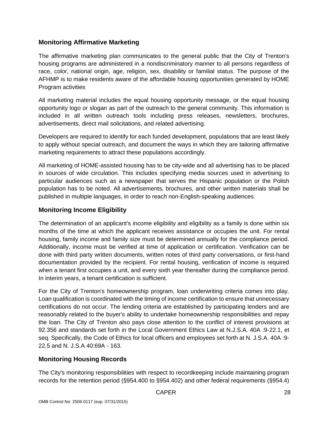### **Monitoring Affirmative Marketing**

The affirmative marketing plan communicates to the general public that the City of Trenton's housing programs are administered in a nondiscriminatory manner to all persons regardless of race, color, national origin, age, religion, sex, disability or familial status. The purpose of the AFHMP is to make residents aware of the affordable housing opportunities generated by HOME Program activities

All marketing material includes the equal housing opportunity message, or the equal housing opportunity logo or slogan as part of the outreach to the general community. This information is included in all written outreach tools including press releases, newsletters, brochures, advertisements, direct mail solicitations, and related advertising.

Developers are required to identify for each funded development, populations that are least likely to apply without special outreach, and document the ways in which they are tailoring affirmative marketing requirements to attract these populations accordingly.

All marketing of HOME-assisted housing has to be city-wide and all advertising has to be placed in sources of wide circulation. This includes specifying media sources used in advertising to particular audiences such as a newspaper that serves the Hispanic population or the Polish population has to be noted. All advertisements, brochures, and other written materials shall be published in multiple languages, in order to reach non-English-speaking audiences.

### **Monitoring Income Eligibility**

The determination of an applicant's income eligibility and eligibility as a family is done within six months of the time at which the applicant receives assistance or occupies the unit. For rental housing, family income and family size must be determined annually for the compliance period. Additionally, income must be verified at time of application or certification. Verification can be done with third party written documents, written notes of third party conversations, or first-hand documentation provided by the recipient. For rental housing, verification of income is required when a tenant first occupies a unit, and every sixth year thereafter during the compliance period. In interim years, a tenant certification is sufficient.

For the City of Trenton's homeownership program, loan underwriting criteria comes into play. Loan qualification is coordinated with the timing of income certification to ensure that unnecessary certifications do not occur. The lending criteria are established by participating lenders and are reasonably related to the buyer's ability to undertake homeownership responsibilities and repay the loan. The City of Trenton also pays close attention to the conflict of interest provisions at 92.356 and standards set forth in the Local Government Ethics Law at N.J.S.A. 40A :9-22.1, et seq. Specifically, the Code of Ethics for local officers and employees set forth at N. J.S.A. 40A :9- 22.5 and N. J.S.A 40:69A - 163.

# **Monitoring Housing Records**

The City's monitoring responsibilities with respect to recordkeeping include maintaining program records for the retention period (§954.400 to §954.402) and other federal requirements (§954.4)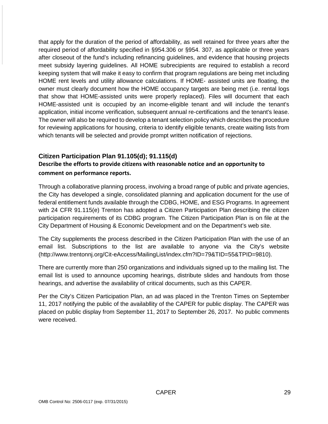that apply for the duration of the period of affordability, as well retained for three years after the required period of affordability specified in §954.306 or §954. 307, as applicable or three years after closeout of the fund's including refinancing guidelines, and evidence that housing projects meet subsidy layering guidelines. All HOME subrecipients are required to establish a record keeping system that will make it easy to confirm that program regulations are being met including HOME rent levels and utility allowance calculations. If HOME- assisted units are floating, the owner must clearly document how the HOME occupancy targets are being met (i.e. rental logs that show that HOME-assisted units were properly replaced). Files will document that each HOME-assisted unit is occupied by an income-eligible tenant and will include the tenant's application, initial income verification, subsequent annual re-certifications and the tenant's lease. The owner will also be required to develop a tenant selection policy which describes the procedure for reviewing applications for housing, criteria to identify eligible tenants, create waiting lists from which tenants will be selected and provide prompt written notification of rejections.

### **Citizen Participation Plan 91.105(d); 91.115(d) Describe the efforts to provide citizens with reasonable notice and an opportunity to comment on performance reports.**

Through a collaborative planning process, involving a broad range of public and private agencies, the City has developed a single, consolidated planning and application document for the use of federal entitlement funds available through the CDBG, HOME, and ESG Programs. In agreement with 24 CFR 91.115(e) Trenton has adopted a Citizen Participation Plan describing the citizen participation requirements of its CDBG program. The Citizen Participation Plan is on file at the City Department of Housing & Economic Development and on the Department's web site.

The City supplements the process described in the Citizen Participation Plan with the use of an email list. Subscriptions to the list are available to anyone via the City's website [\(http://www.trentonnj.org/Cit-eAccess/MailingList/index.cfm?ID=79&TID=55&TPID=9810\)](http://www.trentonnj.org/Cit-eAccess/MailingList/index.cfm?ID=79&TID=55&TPID=9810).

There are currently more than 250 organizations and individuals signed up to the mailing list. The email list is used to announce upcoming hearings, distribute slides and handouts from those hearings, and advertise the availability of critical documents, such as this CAPER.

Per the City's Citizen Participation Plan, an ad was placed in the Trenton Times on September 11, 2017 notifying the public of the availabllity of the CAPER for public display. The CAPER was placed on public display from September 11, 2017 to September 26, 2017. No public comments were received.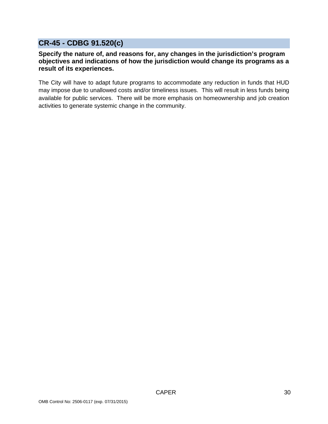# <span id="page-29-0"></span>**CR-45 - CDBG 91.520(c)**

### **Specify the nature of, and reasons for, any changes in the jurisdiction's program objectives and indications of how the jurisdiction would change its programs as a result of its experiences.**

The City will have to adapt future programs to accommodate any reduction in funds that HUD may impose due to unallowed costs and/or timeliness issues. This will result in less funds being available for public services. There will be more emphasis on homeownership and job creation activities to generate systemic change in the community.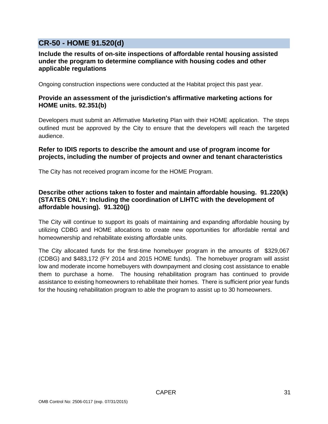# <span id="page-30-0"></span>**CR-50 - HOME 91.520(d)**

### **Include the results of on-site inspections of affordable rental housing assisted under the program to determine compliance with housing codes and other applicable regulations**

Ongoing construction inspections were conducted at the Habitat project this past year.

### **Provide an assessment of the jurisdiction's affirmative marketing actions for HOME units. 92.351(b)**

Developers must submit an Affirmative Marketing Plan with their HOME application. The steps outlined must be approved by the City to ensure that the developers will reach the targeted audience.

### **Refer to IDIS reports to describe the amount and use of program income for projects, including the number of projects and owner and tenant characteristics**

The City has not received program income for the HOME Program.

### **Describe other actions taken to foster and maintain affordable housing. 91.220(k) (STATES ONLY: Including the coordination of LIHTC with the development of affordable housing). 91.320(j)**

The City will continue to support its goals of maintaining and expanding affordable housing by utilizing CDBG and HOME allocations to create new opportunities for affordable rental and homeownership and rehabilitate existing affordable units.

The City allocated funds for the first-time homebuyer program in the amounts of \$329,067 (CDBG) and \$483,172 (FY 2014 and 2015 HOME funds). The homebuyer program will assist low and moderate income homebuyers with downpayment and closing cost assistance to enable them to purchase a home. The housing rehabilitation program has continued to provide assistance to existing homeowners to rehabilitate their homes. There is sufficient prior year funds for the housing rehabilitation program to able the program to assist up to 30 homeowners.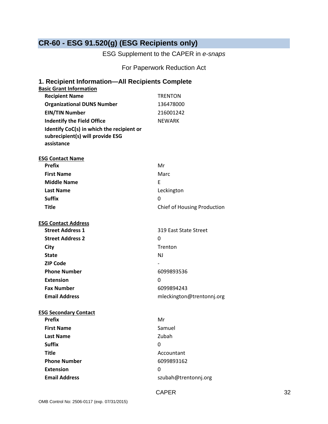# <span id="page-31-0"></span>**CR-60 - ESG 91.520(g) (ESG Recipients only)**

ESG Supplement to the CAPER in *e-snaps*

For Paperwork Reduction Act

| <b>Basic Grant Information</b><br><b>Recipient Name</b><br><b>TRENTON</b><br><b>Organizational DUNS Number</b><br>136478000 |  |
|-----------------------------------------------------------------------------------------------------------------------------|--|
|                                                                                                                             |  |
|                                                                                                                             |  |
|                                                                                                                             |  |
| <b>EIN/TIN Number</b><br>216001242                                                                                          |  |
| <b>Indentify the Field Office</b><br><b>NEWARK</b>                                                                          |  |
| Identify CoC(s) in which the recipient or<br>subrecipient(s) will provide ESG<br>assistance                                 |  |
| <b>ESG Contact Name</b>                                                                                                     |  |
| <b>Prefix</b><br>Mr                                                                                                         |  |
| <b>First Name</b><br>Marc                                                                                                   |  |
| <b>Middle Name</b><br>E                                                                                                     |  |
| <b>Last Name</b><br>Leckington                                                                                              |  |
| <b>Suffix</b><br>0                                                                                                          |  |
| <b>Chief of Housing Production</b><br><b>Title</b>                                                                          |  |
| <b>ESG Contact Address</b>                                                                                                  |  |
| <b>Street Address 1</b><br>319 East State Street                                                                            |  |
| <b>Street Address 2</b><br>0                                                                                                |  |
| Trenton<br>City                                                                                                             |  |
| <b>State</b><br>N <sub>J</sub>                                                                                              |  |
| <b>ZIP Code</b>                                                                                                             |  |
| <b>Phone Number</b><br>6099893536                                                                                           |  |
| <b>Extension</b><br>0                                                                                                       |  |
| <b>Fax Number</b><br>6099894243                                                                                             |  |
| <b>Email Address</b><br>mleckington@trentonnj.org                                                                           |  |
| <b>ESG Secondary Contact</b>                                                                                                |  |
| <b>Prefix</b><br>Mr                                                                                                         |  |
| <b>First Name</b><br>Samuel                                                                                                 |  |
| Zubah<br><b>Last Name</b>                                                                                                   |  |
| <b>Suffix</b><br>0                                                                                                          |  |
| <b>Title</b><br>Accountant                                                                                                  |  |
|                                                                                                                             |  |
| <b>Phone Number</b><br>6099893162                                                                                           |  |
| <b>Extension</b><br>0                                                                                                       |  |

CAPER 32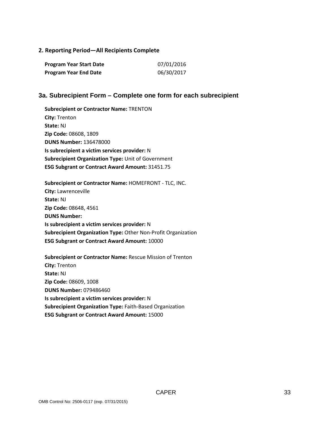#### **2. Reporting Period—All Recipients Complete**

| Program Year Start Date      | 07/01/2016 |
|------------------------------|------------|
| <b>Program Year End Date</b> | 06/30/2017 |

#### **3a. Subrecipient Form – Complete one form for each subrecipient**

**Subrecipient or Contractor Name:** TRENTON **City:** Trenton **State:** NJ **Zip Code:** 08608, 1809 **DUNS Number:** 136478000 **Is subrecipient a victim services provider:** N **Subrecipient Organization Type:** Unit of Government **ESG Subgrant or Contract Award Amount:** 31451.75

**Subrecipient or Contractor Name:** HOMEFRONT - TLC, INC. **City:** Lawrenceville **State:** NJ **Zip Code:** 08648, 4561 **DUNS Number: Is subrecipient a victim services provider:** N **Subrecipient Organization Type:** Other Non-Profit Organization **ESG Subgrant or Contract Award Amount:** 10000

**Subrecipient or Contractor Name:** Rescue Mission of Trenton **City:** Trenton **State:** NJ **Zip Code:** 08609, 1008 **DUNS Number:** 079486460 **Is subrecipient a victim services provider:** N **Subrecipient Organization Type:** Faith-Based Organization **ESG Subgrant or Contract Award Amount:** 15000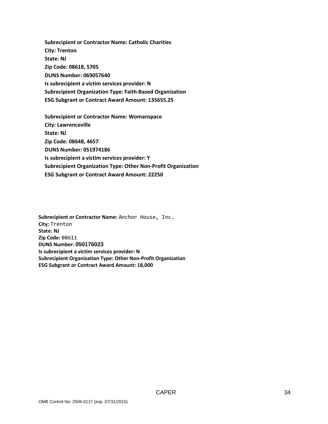**Subrecipient or Contractor Name: Catholic Charities City: Trenton State: NJ Zip Code: 08618, 5705 DUNS Number: 069057640 Is subrecipient a victim services provider: N Subrecipient Organization Type: Faith-Based Organization ESG Subgrant or Contract Award Amount: 135655.25**

**Subrecipient or Contractor Name: Womanspace City: Lawrenceville State: NJ Zip Code: 08648, 4657 DUNS Number: 051974186 Is subrecipient a victim services provider: Y Subrecipient Organization Type: Other Non-Profit Organization ESG Subgrant or Contract Award Amount: 22250**

**Subrecipient or Contractor Name:** Anchor House, Inc. **City:** Trenton **State: NJ Zip Code:** 08611 **DUNS Number: 050176023 Is subrecipient a victim services provider: N Subrecipient Organization Type: Other Non-Profit Organization ESG Subgrant or Contract Award Amount: 18,000**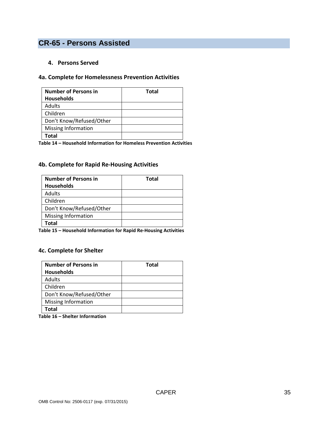# <span id="page-34-0"></span>**CR-65 - Persons Assisted**

#### **4. Persons Served**

#### **4a. Complete for Homelessness Prevention Activities**

| <b>Number of Persons in</b><br><b>Households</b> | <b>Total</b> |
|--------------------------------------------------|--------------|
|                                                  |              |
| Adults                                           |              |
| Children                                         |              |
| Don't Know/Refused/Other                         |              |
| <b>Missing Information</b>                       |              |
| Total                                            |              |

**Table 14 – Household Information for Homeless Prevention Activities**

### **4b. Complete for Rapid Re-Housing Activities**

| <b>Number of Persons in</b> | <b>Total</b> |
|-----------------------------|--------------|
| <b>Households</b>           |              |
| <b>Adults</b>               |              |
| Children                    |              |
| Don't Know/Refused/Other    |              |
| <b>Missing Information</b>  |              |
| Total                       |              |

**Table 15 – Household Information for Rapid Re-Housing Activities**

### **4c. Complete for Shelter**

| <b>Number of Persons in</b> | <b>Total</b> |
|-----------------------------|--------------|
| <b>Households</b>           |              |
| Adults                      |              |
| Children                    |              |
| Don't Know/Refused/Other    |              |
| <b>Missing Information</b>  |              |
| Total                       |              |

**Table 16 – Shelter Information**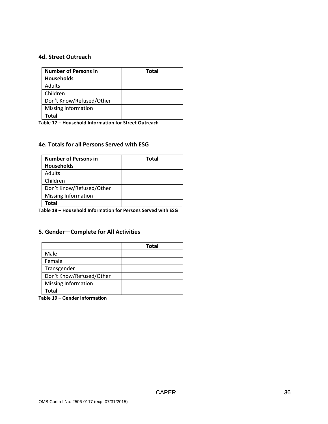#### **4d. Street Outreach**

| <b>Number of Persons in</b> | <b>Total</b> |
|-----------------------------|--------------|
| <b>Households</b>           |              |
| <b>Adults</b>               |              |
| Children                    |              |
| Don't Know/Refused/Other    |              |
| <b>Missing Information</b>  |              |
| Total                       |              |

**Table 17 – Household Information for Street Outreach**

#### **4e. Totals for all Persons Served with ESG**

| <b>Number of Persons in</b> | <b>Total</b> |
|-----------------------------|--------------|
| <b>Households</b>           |              |
| <b>Adults</b>               |              |
| Children                    |              |
| Don't Know/Refused/Other    |              |
| <b>Missing Information</b>  |              |
| Total                       |              |

**Table 18 – Household Information for Persons Served with ESG**

### **5. Gender—Complete for All Activities**

|                            | <b>Total</b> |
|----------------------------|--------------|
| Male                       |              |
| Female                     |              |
| Transgender                |              |
| Don't Know/Refused/Other   |              |
| <b>Missing Information</b> |              |
| Total                      |              |

**Table 19 – Gender Information**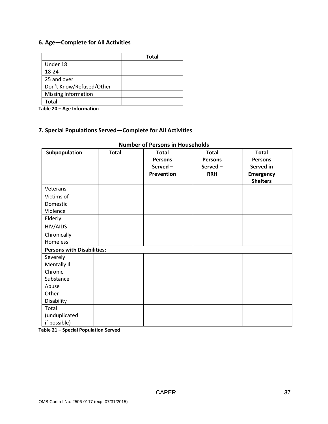# **6. Age—Complete for All Activities**

|                            | <b>Total</b> |
|----------------------------|--------------|
| Under 18                   |              |
| 18-24                      |              |
| 25 and over                |              |
| Don't Know/Refused/Other   |              |
| <b>Missing Information</b> |              |
| Total                      |              |

**Table 20 – Age Information**

# **7. Special Populations Served—Complete for All Activities**

| Subpopulation                     | <b>Total</b> | <b>Total</b><br><b>Persons</b><br>Served-<br><b>Prevention</b> | <b>Total</b><br><b>Persons</b><br>Served-<br><b>RRH</b> | <b>Total</b><br><b>Persons</b><br>Served in<br><b>Emergency</b><br><b>Shelters</b> |
|-----------------------------------|--------------|----------------------------------------------------------------|---------------------------------------------------------|------------------------------------------------------------------------------------|
| Veterans                          |              |                                                                |                                                         |                                                                                    |
| Victims of                        |              |                                                                |                                                         |                                                                                    |
| Domestic                          |              |                                                                |                                                         |                                                                                    |
| Violence                          |              |                                                                |                                                         |                                                                                    |
| Elderly                           |              |                                                                |                                                         |                                                                                    |
| HIV/AIDS                          |              |                                                                |                                                         |                                                                                    |
| Chronically                       |              |                                                                |                                                         |                                                                                    |
| Homeless                          |              |                                                                |                                                         |                                                                                    |
| <b>Persons with Disabilities:</b> |              |                                                                |                                                         |                                                                                    |
| Severely                          |              |                                                                |                                                         |                                                                                    |
| Mentally III                      |              |                                                                |                                                         |                                                                                    |
| Chronic                           |              |                                                                |                                                         |                                                                                    |
| Substance                         |              |                                                                |                                                         |                                                                                    |
| Abuse                             |              |                                                                |                                                         |                                                                                    |
| Other                             |              |                                                                |                                                         |                                                                                    |
| Disability                        |              |                                                                |                                                         |                                                                                    |
| Total                             |              |                                                                |                                                         |                                                                                    |
| (unduplicated                     |              |                                                                |                                                         |                                                                                    |
| if possible)                      |              |                                                                |                                                         |                                                                                    |

## **Number of Persons in Households**

**Table 21 – Special Population Served**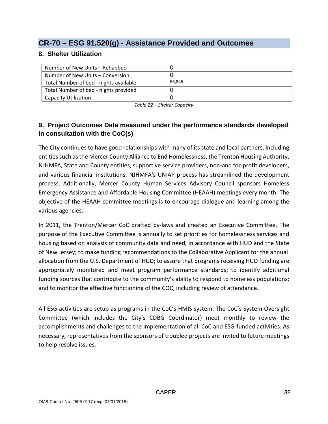# **CR-70 – ESG 91.520(g) - Assistance Provided and Outcomes**

# **8. Shelter Utilization**

| Number of New Units - Rehabbed         |        |
|----------------------------------------|--------|
| Number of New Units – Conversion       |        |
| Total Number of bed - nights available | 55.845 |
| Total Number of bed - nights provided  |        |
| <b>Capacity Utilization</b>            |        |

*Table 22 – Shelter Capacity*

# **9. Project Outcomes Data measured under the performance standards developed in consultation with the CoC(s)**

The City continues to have good relationships with many of its state and local partners, including entities such as the Mercer County Alliance to End Homelessness, the Trenton Housing Authority, NJHMFA, State and County entities, supportive service providers, non-and for-profit developers, and various financial institutions. NJHMFA's UNIAP process has streamlined the development process. Additionally, Mercer County Human Services Advisory Council sponsors Homeless Emergency Assistance and Affordable Housing Committee (HEAAH) meetings every month. The objective of the HEAAH committee meetings is to encourage dialogue and learning among the various agencies.

In 2011, the Trenton/Mercer CoC drafted by-laws and created an Executive Committee. The purpose of the Executive Committee is annually to set priorities for homelessness services and housing based on analysis of community data and need, in accordance with HUD and the State of New Jersey; to make funding recommendations to the Collaborative Applicant for the annual allocation from the U.S. Department of HUD; to assure that programs receiving HUD funding are appropriately monitored and meet program performance standards; to identify additional funding sources that contribute to the community's ability to respond to homeless populations; and to monitor the effective functioning of the COC, including review of attendance.

All ESG activities are setup as programs in the CoC's HMIS system. The CoC's System Oversight Committee (which includes the City's CDBG Coordinator) meet monthly to review the accomplishments and challenges to the implementation of all CoC and ESG-funded activities. As necessary, representatives from the sponsors of troubled projects are invited to future meetings to help resolve issues.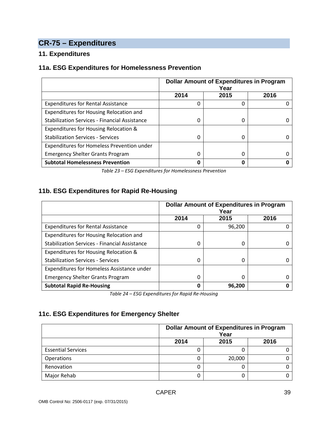# **CR-75 – Expenditures**

# **11. Expenditures**

# **11a. ESG Expenditures for Homelessness Prevention**

|                                                      | <b>Dollar Amount of Expenditures in Program</b><br>Year |      |      |  |
|------------------------------------------------------|---------------------------------------------------------|------|------|--|
|                                                      | 2014                                                    | 2015 | 2016 |  |
| <b>Expenditures for Rental Assistance</b>            | 0                                                       | 0    |      |  |
| Expenditures for Housing Relocation and              |                                                         |      |      |  |
| <b>Stabilization Services - Financial Assistance</b> | <sup>0</sup>                                            | 0    |      |  |
| Expenditures for Housing Relocation &                |                                                         |      |      |  |
| <b>Stabilization Services - Services</b>             |                                                         | 0    |      |  |
| Expenditures for Homeless Prevention under           |                                                         |      |      |  |
| <b>Emergency Shelter Grants Program</b>              |                                                         | 0    |      |  |
| <b>Subtotal Homelessness Prevention</b>              | Ω                                                       | ი    |      |  |

*Table 23 – ESG Expenditures for Homelessness Prevention*

# **11b. ESG Expenditures for Rapid Re-Housing**

|                                                      | <b>Dollar Amount of Expenditures in Program</b><br>Year |        |      |
|------------------------------------------------------|---------------------------------------------------------|--------|------|
|                                                      | 2014                                                    | 2015   | 2016 |
| <b>Expenditures for Rental Assistance</b>            | 0                                                       | 96,200 |      |
| Expenditures for Housing Relocation and              |                                                         |        |      |
| <b>Stabilization Services - Financial Assistance</b> | 0                                                       | 0      |      |
| Expenditures for Housing Relocation &                |                                                         |        |      |
| <b>Stabilization Services - Services</b>             | 0                                                       | 0      |      |
| Expenditures for Homeless Assistance under           |                                                         |        |      |
| <b>Emergency Shelter Grants Program</b>              | 0                                                       | 0      |      |
| <b>Subtotal Rapid Re-Housing</b>                     | ŋ                                                       | 96,200 |      |

*Table 24 – ESG Expenditures for Rapid Re-Housing*

# **11c. ESG Expenditures for Emergency Shelter**

|                           | <b>Dollar Amount of Expenditures in Program</b><br>Year |        |  |  |  |
|---------------------------|---------------------------------------------------------|--------|--|--|--|
|                           | 2015<br>2014<br>2016                                    |        |  |  |  |
| <b>Essential Services</b> |                                                         |        |  |  |  |
| Operations                |                                                         | 20,000 |  |  |  |
| Renovation                |                                                         | 0      |  |  |  |
| Major Rehab               |                                                         | 0      |  |  |  |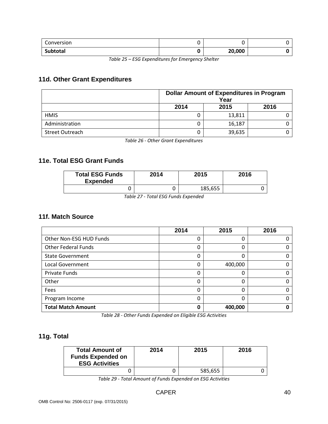| Conversion |        |  |
|------------|--------|--|
| Subtotal   | 20,000 |  |

*Table 25 – ESG Expenditures for Emergency Shelter*

# **11d. Other Grant Expenditures**

|                        | <b>Dollar Amount of Expenditures in Program</b><br>Year |        |  |  |
|------------------------|---------------------------------------------------------|--------|--|--|
|                        | 2016<br>2014<br>2015                                    |        |  |  |
| <b>HMIS</b>            |                                                         | 13,811 |  |  |
| Administration         |                                                         | 16,187 |  |  |
| <b>Street Outreach</b> |                                                         | 39,635 |  |  |

*Table 26 - Other Grant Expenditures*

# **11e. Total ESG Grant Funds**

| <b>Total ESG Funds</b><br><b>Expended</b> | 2014 | 2015    | 2016 |  |  |
|-------------------------------------------|------|---------|------|--|--|
|                                           |      | 185,655 |      |  |  |
| _ _ _ _ _ _ _<br>_<br>$ -$<br>.           |      |         |      |  |  |

*Table 27 - Total ESG Funds Expended*

# **11f. Match Source**

|                            | 2014 | 2015    | 2016 |
|----------------------------|------|---------|------|
| Other Non-ESG HUD Funds    | 0    | 0       |      |
| <b>Other Federal Funds</b> | 0    | 0       |      |
| <b>State Government</b>    | 0    | 0       | O    |
| <b>Local Government</b>    | 0    | 400,000 |      |
| Private Funds              | 0    | 0       |      |
| Other                      | 0    | Ω       |      |
| Fees                       | 0    | 0       | O    |
| Program Income             | 0    | 0       |      |
| <b>Total Match Amount</b>  | Ω    | 400,000 |      |

*Table 28 - Other Funds Expended on Eligible ESG Activities*

# **11g. Total**

| <b>Total Amount of</b><br><b>Funds Expended on</b><br><b>ESG Activities</b> | 2014 | 2015    | 2016 |
|-----------------------------------------------------------------------------|------|---------|------|
|                                                                             |      | 585,655 |      |

*Table 29 - Total Amount of Funds Expended on ESG Activities*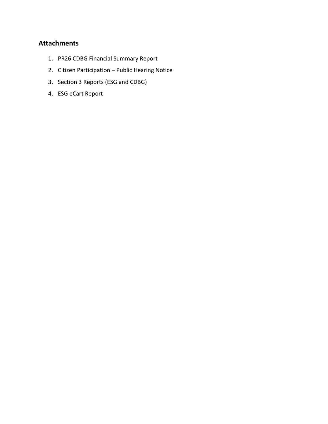# **Attachments**

- 1. PR26 CDBG Financial Summary Report
- 2. Citizen Participation Public Hearing Notice
- 3. Section 3 Reports (ESG and CDBG)
- 4. ESG eCart Report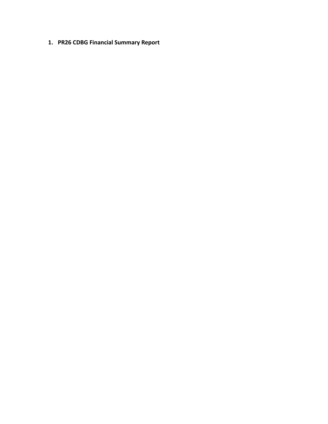**1. PR26 CDBG Financial Summary Report**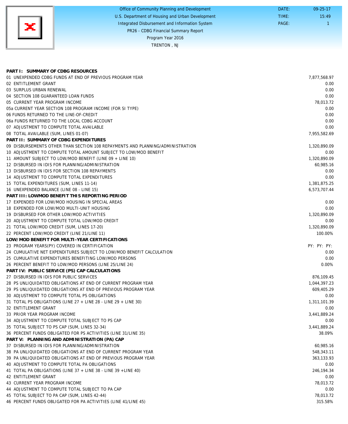|    | Office of Community Planning and Development     | DATE: | $09 - 25 - 17$ |
|----|--------------------------------------------------|-------|----------------|
|    | U.S. Department of Housing and Urban Development | TIME: | 15:49          |
| ×l | Integrated Disbursement and Information System   | PAGE: |                |
|    | PR26 - CDBG Financial Summary Report             |       |                |
|    | Program Year 2016                                |       |                |
|    | TRENTON, NJ                                      |       |                |

| PART I: SUMMARY OF CDBG RESOURCES                                              |              |
|--------------------------------------------------------------------------------|--------------|
| 01 UNEXPENDED CDBG FUNDS AT END OF PREVIOUS PROGRAM YEAR                       | 7,877,568.97 |
| 02 ENTITLEMENT GRANT                                                           | 0.00         |
| 03 SURPLUS URBAN RENEWAL                                                       | 0.00         |
| 04 SECTION 108 GUARANTEED LOAN FUNDS                                           | 0.00         |
| 05 CURRENT YEAR PROGRAM INCOME                                                 | 78,013.72    |
| 05a CURRENT YEAR SECTION 108 PROGRAM INCOME (FOR SI TYPE)                      | 0.00         |
| 06 FUNDS RETURNED TO THE LINE-OF-CREDIT                                        | 0.00         |
| 06a FUNDS RETURNED TO THE LOCAL CDBG ACCOUNT                                   | 0.00         |
| 07 ADJUSTMENT TO COMPUTE TOTAL AVAILABLE                                       | 0.00         |
| 08 TOTAL AVAILABLE (SUM, LINES 01-07)                                          | 7,955,582.69 |
| PART II: SUMMARY OF CDBG EXPENDITURES                                          |              |
| 09 DISBURSEMENTS OTHER THAN SECTION 108 REPAYMENTS AND PLANNING/ADMINISTRATION | 1,320,890.09 |
| 10 ADJUSTMENT TO COMPUTE TOTAL AMOUNT SUBJECT TO LOW/MOD BENEFIT               | 0.00         |
| 11 AMOUNT SUBJECT TO LOW/MOD BENEFIT (LINE 09 + LINE 10)                       | 1,320,890.09 |
| 12 DISBURSED IN IDIS FOR PLANNING/ADMINISTRATION                               | 60,985.16    |
| 13 DISBURSED IN IDIS FOR SECTION 108 REPAYMENTS                                | 0.00         |
| 14 ADJUSTMENT TO COMPUTE TOTAL EXPENDITURES                                    | 0.00         |
| 15 TOTAL EXPENDITURES (SUM, LINES 11-14)                                       | 1,381,875.25 |
| 16 UNEXPENDED BALANCE (LINE 08 - LINE 15)                                      | 6,573,707.44 |
| PART III: LOWMOD BENEFIT THIS REPORTING PERIOD                                 |              |
| 17 EXPENDED FOR LOW/MOD HOUSING IN SPECIAL AREAS                               | 0.00         |
| 18 EXPENDED FOR LOW/MOD MULTI-UNIT HOUSING                                     | 0.00         |
| 19 DISBURSED FOR OTHER LOW/MOD ACTIVITIES                                      | 1,320,890.09 |
| 20 ADJUSTMENT TO COMPUTE TOTAL LOW/MOD CREDIT                                  | 0.00         |
| 21 TOTAL LOW/MOD CREDIT (SUM, LINES 17-20)                                     | 1,320,890.09 |
| 22 PERCENT LOW/MOD CREDIT (LINE 21/LINE 11)                                    | 100.00%      |
| LOW/MOD BENEFIT FOR MULTI-YEAR CERTIFICATIONS                                  |              |
| 23 PROGRAM YEARS(PY) COVERED IN CERTIFICATION                                  | PY: PY: PY:  |
| 24 CUMULATIVE NET EXPENDITURES SUBJECT TO LOW/MOD BENEFIT CALCULATION          | 0.00         |
| 25 CUMULATIVE EXPENDITURES BENEFITING LOW/MOD PERSONS                          | 0.00         |
| 26 PERCENT BENEFIT TO LOW/MOD PERSONS (LINE 25/LINE 24)                        | 0.00%        |
| PART IV: PUBLIC SERVICE (PS) CAP CALCULATIONS                                  |              |
| 27 DISBURSED IN IDIS FOR PUBLIC SERVICES                                       | 876,109.45   |
| 28 PS UNLIQUIDATED OBLIGATIONS AT END OF CURRENT PROGRAM YEAR                  | 1,044,397.23 |
| 29 PS UNLIQUIDATED OBLIGATIONS AT END OF PREVIOUS PROGRAM YEAR                 | 609,405.29   |
| 30 ADJUSTMENT TO COMPUTE TOTAL PS OBLIGATIONS                                  | 0.00         |
| 31 TOTAL PS OBLIGATIONS (LINE 27 + LINE 28 - LINE 29 + LINE 30)                | 1,311,101.39 |
| 32 ENTITLEMENT GRANT                                                           | 0.00         |
| 33 PRIOR YEAR PROGRAM INCOME                                                   | 3,441,889.24 |
| 34 ADJUSTMENT TO COMPUTE TOTAL SUBJECT TO PS CAP                               | 0.00         |
| 35 TOTAL SUBJECT TO PS CAP (SUM, LINES 32-34)                                  | 3,441,889.24 |
| 36 PERCENT FUNDS OBLIGATED FOR PS ACTIVITIES (LINE 31/LINE 35)                 | 38.09%       |
| PART V: PLANNING AND ADMINISTRATION (PA) CAP                                   |              |
| 37 DISBURSED IN IDIS FOR PLANNING/ADMINISTRATION                               | 60,985.16    |
| 38 PA UNLIQUIDATED OBLIGATIONS AT END OF CURRENT PROGRAM YEAR                  | 548,343.11   |
| 39 PA UNLIQUIDATED OBLIGATIONS AT END OF PREVIOUS PROGRAM YEAR                 | 363,133.93   |
| 40 ADJUSTMENT TO COMPUTE TOTAL PA OBLIGATIONS                                  | 0.00         |
| 41 TOTAL PA OBLIGATIONS (LINE 37 + LINE 38 - LINE 39 + LINE 40)                | 246,194.34   |
| 42 ENTITLEMENT GRANT                                                           | 0.00         |
| 43 CURRENT YEAR PROGRAM INCOME                                                 | 78,013.72    |
| 44 ADJUSTMENT TO COMPUTE TOTAL SUBJECT TO PA CAP                               | 0.00         |
| 45 TOTAL SUBJECT TO PA CAP (SUM, LINES 42-44)                                  | 78,013.72    |
| 46 PERCENT FUNDS OBLIGATED FOR PA ACTIVITIES (LINE 41/LINE 45)                 | 315.58%      |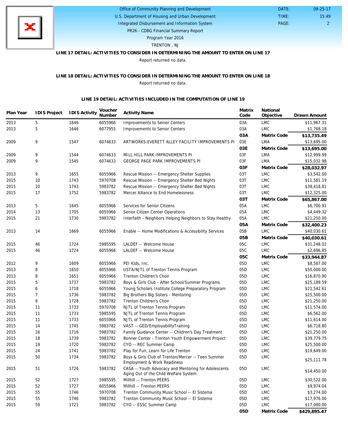

## Office of Community Planning and Development

U.S. Department of Housing and Urban Development Integrated Disbursement and Information System

PAGE: 2 15:49

09-25-17

 DATE: TIME:

PR26 - CDBG Financial Summary Report

Program Year 2016

TRENTON , NJ

## **LINE 17 DETAIL: ACTIVITIES TO CONSIDER IN DETERMINING THE AMOUNT TO ENTER ON LINE 17**

Report returned no data.

## **LINE 18 DETAIL: ACTIVITIES TO CONSIDER IN DETERMINING THE AMOUNT TO ENTER ON LINE 18** Report returned no data.

#### **LINE 19 DETAIL: ACTIVITIES INCLUDED IN THE COMPUTATION OF LINE 19**

| Plan Year | <b>IDIS Project</b> | <b>IDIS Activity</b> | Voucher<br>Number | <b>Activity Name</b>                                                                          | Matrix<br>Code | National<br>Objective       | Drawn Amount |
|-----------|---------------------|----------------------|-------------------|-----------------------------------------------------------------------------------------------|----------------|-----------------------------|--------------|
| 2013      | 5                   | 1646                 | 6055966           | Improvements to Senior Centers                                                                | 03A            | LMC                         | \$11,967.31  |
| 2013      | 5                   | 1646                 | 6077955           | Improvements to Senior Centers                                                                | 03A            | <b>LMC</b>                  | \$1,768.18   |
|           |                     |                      |                   |                                                                                               | 03A            | Matrix Code                 | \$13,735.49  |
| 2009      | 9                   | 1547                 | 6074633           | ARTWORKS-EVERETT ALLEY FACILITY IMPROVEMENTS PI                                               | 03E            | LMA                         | \$13,695.00  |
|           |                     |                      |                   |                                                                                               | 03E            | Matrix Code                 | \$13,695.00  |
| 2009      | 9                   | 1544                 | 6074633           | MILL HILL PARK IMPROVEMENTS PI                                                                | 03F            | LMA                         | \$12,999.99  |
| 2009      | 9                   | 1545                 | 6074633           | <b>GEORGE PAGE PARK IMPROVEMENTS PI</b>                                                       | 03F            | LMA                         | \$15,032.98  |
|           |                     |                      |                   |                                                                                               | 03F            | Matrix Code                 | \$28,032.97  |
| 2013      | 9                   | 1655                 | 6055966           | Rescue Mission -- Emergency Shelter Supplies                                                  | 03T            | <b>LMC</b>                  | \$3,542.00   |
| 2015      | 10                  | 1743                 | 5970708           | Rescue Mission -- Emergency Shelter Bed Nights                                                | 03T            | <b>LMC</b>                  | \$11,581.19  |
| 2015      | 10                  | 1743                 | 5983782           | Rescue Mission -- Emergency Shelter Bed Nights                                                | 03T            | <b>LMC</b>                  | \$38,418.81  |
| 2015      | 17                  | 1752                 | 5983782           | Mercer Alliance to End Homelessness                                                           | 03T            | <b>LMC</b>                  | \$12,325.00  |
|           |                     |                      |                   |                                                                                               | O3T            | Matrix Code                 | \$65,867.00  |
| 2013      | 5                   | 1645                 | 6055966           | Services for Senior Citizens                                                                  | 05A            | <b>LMC</b>                  | \$6,700.91   |
| 2014      | 13                  | 1705                 | 6055966           | Senior Citizen Center Operations                                                              | 05A            | <b>LMC</b>                  | \$4,449.32   |
| 2015      | 21                  | 1730                 | 5983782           | Interfaith - Neighbors Helping Neighbors to Stay Healthy                                      | 05A            | <b>LMC</b>                  | \$21,250.00  |
|           |                     |                      |                   |                                                                                               | 05A            | Matrix Code                 | \$32,400.23  |
| 2013      | 14                  | 1669                 | 6055966           | Enable -- Home Modifications & Accessibility Services                                         | 05B            | <b>LMC</b>                  | \$40,030.61  |
|           |                     |                      |                   |                                                                                               | 05B            | Matrix Code                 | \$40,030.61  |
| 2015      | 46                  | 1724                 | 5985595           | LALDEF -- Welcome House                                                                       | 05C            | <b>LMC</b>                  | \$31,248.02  |
| 2015      | 46                  | 1724                 | 6055966           | LALDEF -- Welcome House                                                                       | 05C            | <b>LMC</b>                  | \$2,696.85   |
|           |                     |                      |                   |                                                                                               | 05C            | Matrix Code                 | \$33,944.87  |
| 2012      | 9                   | 1609                 | 6055966           | PEI Kids, Inc.                                                                                | 05D            | <b>LMC</b>                  | \$8,587.00   |
| 2013      | 8                   | 1650                 | 6055966           | USTA/NJTL of Trenton Tennis Program                                                           | 05D            | <b>LMC</b>                  | \$50,000.00  |
| 2013      | 8                   | 1651                 | 6055966           | Trenton Children's Choir                                                                      | 05D            | <b>LMC</b>                  | \$16,870.90  |
| 2015      | 5                   | 1737                 | 5983782           | Boys & Girls Club - After School/Summer Programs                                              | 05D            | <b>LMC</b>                  | \$25,189.59  |
| 2015      | 6                   | 1718                 | 6055966           | Young Scholars Institute College Preparatory Program                                          | 05D            | <b>LMC</b>                  | \$21,542.61  |
| 2015      | 7                   | 1736                 | 5983782           | Big Brothers Big Sisters - Mentoring                                                          | 05D            | <b>LMC</b>                  | \$25,500.00  |
| 2015      | 8                   | 1728                 | 5983782           | Trenton Children's Choir                                                                      | 05D            | <b>LMC</b>                  | \$21,250.00  |
| 2015      | 11                  | 1733                 | 5970708           | NJTL of Trenton Tennis Program                                                                | 05D            | <b>LMC</b>                  | \$11,574.00  |
| 2015      | 11                  | 1733                 | 5985595           | NJTL of Trenton Tennis Program                                                                | 05D            | <b>LMC</b>                  | \$6,562.00   |
| 2015      | 11                  | 1733                 | 6055966           | NJTL of Trenton Tennis Program                                                                | 05D            | <b>LMC</b>                  | \$11,614.00  |
| 2015      | 14                  | 1745                 | 5983782           | VAST -- GED/EmployabilityTraining                                                             | 05D            | <b>LMC</b>                  | \$6,718.80   |
| 2015      | 16                  | 1716                 | 5983782           | Family Guidance Center -- Children's Day Treatment                                            | 05D            | <b>LMC</b>                  | \$21,250.00  |
| 2015      | 18                  | 1739                 | 5983782           | Bonner Center - Trenton Youth Empowerment Project                                             | 05D            | <b>LMC</b>                  | \$39,779.75  |
| 2015      | 19                  | 1720                 | 5983782           | CYO -- REC Summer Camp                                                                        | 05D            | <b>LMC</b>                  | \$25,500.00  |
| 2015      | 24                  | 1741                 | 5983782           | Play for Fun, Learn for Life Trenton                                                          | 05D            | LMC                         | \$19,649.00  |
| 2015      | 50                  | 1734                 | 5983782           | Boys & Girls Club of Trenton/Mercer -- Teen Summer<br>Employment & Work Readiness             | 05D            | $\ensuremath{\mathsf{LMC}}$ | \$25,111.78  |
| 2015      | 51                  | 1726                 | 5983782           | CASA -- Youth Advocacy and Mentoring for Adolescents<br>Aging Out of the Child Welfare System | 05D            | <b>LMC</b>                  | \$14,450.00  |
| 2015      | 52                  | 1727                 | 5985595           | Millhill -- Trenton PEERS                                                                     | 05D            | <b>LMC</b>                  | \$30,522.00  |
| 2015      | 52                  | 1727                 | 6055966           | Millhill -- Trenton PEERS                                                                     | 05D            | <b>LMC</b>                  | \$9,974.04   |
| 2015      | 55                  | 1746                 | 5970708           | Trenton Community Music School -- El Sistema                                                  | 05D            | <b>LMC</b>                  | \$3,274.00   |
| 2015      | 55                  | 1746                 | 5983782           | Trenton Community Music School -- El Sistema                                                  | 05D            | <b>LMC</b>                  | \$17,976.00  |
| 2015      | 59                  | 1721                 | 5983782           | CYO -- ESSC Summer Camp                                                                       | 05D            | <b>LMC</b>                  | \$17,000.00  |
|           |                     |                      |                   |                                                                                               | 05D            | Matrix Code                 | \$429,895.47 |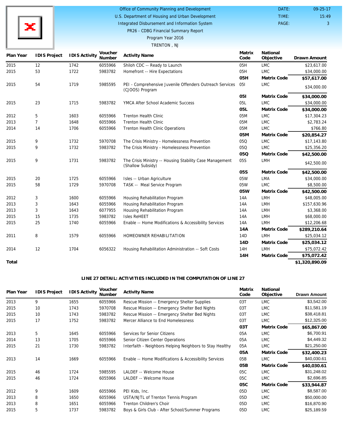

#### Office of Community Planning and Development DATE:

U.S. Department of Housing and Urban Development Integrated Disbursement and Information System

PAGE: 3 15:49

09-25-17

TIME:

PR26 - CDBG Financial Summary Report

# Program Year 2016

## TRENTON , NJ

| Plan Year | <b>IDIS Project</b> | <b>IDIS Activity</b> | Voucher<br>Number | <b>Activity Name</b>                                                          | Matrix<br>Code   | National<br>Objective | Drawn Amount   |
|-----------|---------------------|----------------------|-------------------|-------------------------------------------------------------------------------|------------------|-----------------------|----------------|
| 2015      | 12                  | 1742                 | 6055966           | Shiloh CDC -- Ready to Launch                                                 | 05H              | <b>LMC</b>            | \$23,617.00    |
| 2015      | 53                  | 1722                 | 5983782           | Homefront -- Hire Expectations                                                | 05H              | <b>LMC</b>            | \$34,000.00    |
|           |                     |                      |                   |                                                                               | 05H              | Matrix Code           | \$57,617.00    |
| 2015      | 54                  | 1719                 | 5985595           | PEI - Comprehensive Juvenile Offenders Outreach Services<br>(CJOOS) Program   | 051              | <b>LMC</b>            | \$34,000.00    |
|           |                     |                      |                   |                                                                               | 051              | Matrix Code           | \$34,000.00    |
| 2015      | 23                  | 1715                 | 5983782           | YMCA After School Academic Success                                            | 05L              | <b>LMC</b>            | \$34,000.00    |
|           |                     |                      |                   |                                                                               | O <sub>5</sub> L | Matrix Code           | \$34,000.00    |
| 2012      | 5                   | 1603                 | 6055966           | <b>Trenton Health Clinic</b>                                                  | 05M              | <b>LMC</b>            | \$17,304.23    |
| 2013      | $\overline{7}$      | 1648                 | 6055966           | <b>Trenton Health Clinic</b>                                                  | 05M              | <b>LMC</b>            | \$2,783.24     |
| 2014      | 14                  | 1706                 | 6055966           | <b>Trenton Health Clinic Operations</b>                                       | 05M              | <b>LMC</b>            | \$766.80       |
|           |                     |                      |                   |                                                                               | 05M              | Matrix Code           | \$20,854.27    |
| 2015      | 9                   | 1732                 | 5970708           | The Crisis Ministry - Homelessness Prevention                                 | 05Q              | <b>LMC</b>            | \$17,143.80    |
| 2015      | 9                   | 1732                 | 5983782           | The Crisis Ministry - Homelessness Prevention                                 | 05Q              | LMC                   | \$25,356.20    |
|           |                     |                      |                   |                                                                               | 05Q              | Matrix Code           | \$42,500.00    |
| 2015      | 9                   | 1731                 | 5983782           | The Crisis Ministry -- Housing Stability Case Management<br>(Shallow Subsidy) | 05S              | LMH                   | \$42,500.00    |
|           |                     |                      |                   |                                                                               | 05S              | Matrix Code           | \$42,500.00    |
| 2015      | 20                  | 1725                 | 6055966           | Isles -- Urban Agriculture                                                    | 05W              | <b>LMA</b>            | \$34,000.00    |
| 2015      | 58                  | 1729                 | 5970708           | TASK -- Meal Service Program                                                  | 05W              | <b>LMC</b>            | \$8,500.00     |
|           |                     |                      |                   |                                                                               | 05W              | Matrix Code           | \$42,500.00    |
| 2012      | 3                   | 1600                 | 6055966           | Housing Rehabilitation Program                                                | 14A              | <b>LMH</b>            | \$48,005.00    |
| 2013      | 3                   | 1643                 | 6055966           | Housing Rehabilitation Program                                                | 14A              | <b>LMH</b>            | \$157,630.96   |
| 2013      | 3                   | 1643                 | 6077955           | Housing Rehabilitation Program                                                | 14A              | LMH                   | \$3,368.00     |
| 2015      | 15                  | 1735                 | 5983782           | <b>Isles ReHEET</b>                                                           | 14A              | <b>LMH</b>            | \$68,000.00    |
| 2015      | 25                  | 1740                 | 6055966           | Enable -- Home Modifications & Accessibility Services                         | 14A              | <b>LMH</b>            | \$12,206.68    |
|           |                     |                      |                   |                                                                               | 14A              | Matrix Code           | \$289,210.64   |
| 2011      | 8                   | 1579                 | 6055966           | HOMEOWNER REHABILITATION                                                      | 14D              | <b>LMH</b>            | \$25,034.12    |
|           |                     |                      |                   |                                                                               | 14D              | Matrix Code           | \$25,034.12    |
| 2014      | 12                  | 1704                 | 6056322           | Housing Rehabilitation Administration -- Soft Costs                           | 14H              | <b>LMH</b>            | \$75,072.42    |
|           |                     |                      |                   |                                                                               | 14H              | Matrix Code           | \$75,072.42    |
| Total     |                     |                      |                   |                                                                               |                  |                       | \$1,320,890.09 |

### **LINE 27 DETAIL: ACTIVITIES INCLUDED IN THE COMPUTATION OF LINE 27**

| Plan Year | <b>IDIS Project</b> | <b>IDIS Activity</b> | Voucher<br>Number | <b>Activity Name</b>                                     | Matrix<br>Code  | National<br>Objective | <b>Drawn Amount</b> |
|-----------|---------------------|----------------------|-------------------|----------------------------------------------------------|-----------------|-----------------------|---------------------|
| 2013      | 9                   | 1655                 | 6055966           | Rescue Mission -- Emergency Shelter Supplies             | 03T             | <b>LMC</b>            | \$3,542.00          |
| 2015      | 10                  | 1743                 | 5970708           | Rescue Mission -- Emergency Shelter Bed Nights           | 03T             | <b>LMC</b>            | \$11,581.19         |
| 2015      | 10                  | 1743                 | 5983782           | Rescue Mission -- Emergency Shelter Bed Nights           | 03T             | <b>LMC</b>            | \$38,418.81         |
| 2015      | 17                  | 1752                 | 5983782           | Mercer Alliance to End Homelessness                      | 03T             | <b>LMC</b>            | \$12,325.00         |
|           |                     |                      |                   |                                                          | 03T             | Matrix Code           | \$65,867.00         |
| 2013      | 5                   | 1645                 | 6055966           | Services for Senior Citizens                             | 05A             | <b>LMC</b>            | \$6,700.91          |
| 2014      | 13                  | 1705                 | 6055966           | Senior Citizen Center Operations                         | 05A             | <b>LMC</b>            | \$4,449.32          |
| 2015      | 21                  | 1730                 | 5983782           | Interfaith - Neighbors Helping Neighbors to Stay Healthy | 05A             | <b>LMC</b>            | \$21,250.00         |
|           |                     |                      |                   |                                                          | 05A             | Matrix Code           | \$32,400.23         |
| 2013      | 14                  | 1669                 | 6055966           | Enable -- Home Modifications & Accessibility Services    | 05B             | <b>LMC</b>            | \$40,030.61         |
|           |                     |                      |                   |                                                          | 05B             | Matrix Code           | \$40,030.61         |
| 2015      | 46                  | 1724                 | 5985595           | LALDEF -- Welcome House                                  | 05C             | <b>LMC</b>            | \$31,248.02         |
| 2015      | 46                  | 1724                 | 6055966           | LALDEF -- Welcome House                                  | 05C             | <b>LMC</b>            | \$2,696.85          |
|           |                     |                      |                   |                                                          | 05C             | Matrix Code           | \$33,944.87         |
| 2012      | 9                   | 1609                 | 6055966           | PEI Kids, Inc.                                           | 05D             | <b>LMC</b>            | \$8,587.00          |
| 2013      | 8                   | 1650                 | 6055966           | USTA/NJTL of Trenton Tennis Program                      | 05D             | <b>LMC</b>            | \$50,000.00         |
| 2013      | 8                   | 1651                 | 6055966           | Trenton Children's Choir                                 | 05D             | <b>LMC</b>            | \$16,870.90         |
| 2015      | 5                   | 1737                 | 5983782           | Boys & Girls Club - After School/Summer Programs         | 05 <sub>D</sub> | <b>LMC</b>            | \$25,189.59         |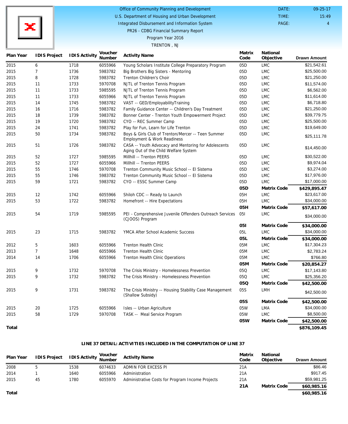## Office of Community Planning and Development

U.S. Department of Housing and Urban Development Integrated Disbursement and Information System

PAGE: 4 15:49

09-25-17

 DATE: TIME:

PR26 - CDBG Financial Summary Report

## Program Year 2016

#### TRENTON , NJ

| Plan Year | <b>IDIS Project</b> | <b>IDIS Activity</b> | Voucher<br>Number | <b>Activity Name</b>                                                                          | Matrix<br>Code | National<br>Objective | <b>Drawn Amount</b> |
|-----------|---------------------|----------------------|-------------------|-----------------------------------------------------------------------------------------------|----------------|-----------------------|---------------------|
| 2015      | 6                   | 1718                 | 6055966           | Young Scholars Institute College Preparatory Program                                          | 05D            | <b>LMC</b>            | \$21,542.61         |
| 2015      | $\overline{7}$      | 1736                 | 5983782           | Big Brothers Big Sisters - Mentoring                                                          | 05D            | <b>LMC</b>            | \$25,500.00         |
| 2015      | 8                   | 1728                 | 5983782           | Trenton Children's Choir                                                                      | 05D            | <b>LMC</b>            | \$21,250.00         |
| 2015      | 11                  | 1733                 | 5970708           | NJTL of Trenton Tennis Program                                                                | 05D            | <b>LMC</b>            | \$11,574.00         |
| 2015      | 11                  | 1733                 | 5985595           | NJTL of Trenton Tennis Program                                                                | 05D            | <b>LMC</b>            | \$6,562.00          |
| 2015      | 11                  | 1733                 | 6055966           | NJTL of Trenton Tennis Program                                                                | 05D            | <b>LMC</b>            | \$11,614.00         |
| 2015      | 14                  | 1745                 | 5983782           | VAST -- GED/EmployabilityTraining                                                             | 05D            | <b>LMC</b>            | \$6,718.80          |
| 2015      | 16                  | 1716                 | 5983782           | Family Guidance Center -- Children's Day Treatment                                            | 05D            | <b>LMC</b>            | \$21,250.00         |
| 2015      | 18                  | 1739                 | 5983782           | Bonner Center - Trenton Youth Empowerment Project                                             | 05D            | <b>LMC</b>            | \$39,779.75         |
| 2015      | 19                  | 1720                 | 5983782           | CYO -- REC Summer Camp                                                                        | 05D            | <b>LMC</b>            | \$25,500.00         |
| 2015      | 24                  | 1741                 | 5983782           | Play for Fun, Learn for Life Trenton                                                          | 05D            | <b>LMC</b>            | \$19,649.00         |
| 2015      | 50                  | 1734                 | 5983782           | Boys & Girls Club of Trenton/Mercer -- Teen Summer<br>Employment & Work Readiness             | 05D            | <b>LMC</b>            | \$25,111.78         |
| 2015      | 51                  | 1726                 | 5983782           | CASA -- Youth Advocacy and Mentoring for Adolescents<br>Aging Out of the Child Welfare System | 05D            | <b>LMC</b>            | \$14,450.00         |
| 2015      | 52                  | 1727                 | 5985595           | Millhill -- Trenton PEERS                                                                     | 05D            | <b>LMC</b>            | \$30,522.00         |
| 2015      | 52                  | 1727                 | 6055966           | Millhill -- Trenton PEERS                                                                     | 05D            | <b>LMC</b>            | \$9,974.04          |
| 2015      | 55                  | 1746                 | 5970708           | Trenton Community Music School -- El Sistema                                                  | 05D            | <b>LMC</b>            | \$3,274.00          |
| 2015      | 55                  | 1746                 | 5983782           | Trenton Community Music School -- El Sistema                                                  | 05D            | <b>LMC</b>            | \$17,976.00         |
| 2015      | 59                  | 1721                 | 5983782           | CYO -- ESSC Summer Camp                                                                       | 05D            | <b>LMC</b>            | \$17,000.00         |
|           |                     |                      |                   |                                                                                               | 05D            | Matrix Code           | \$429,895.47        |
| 2015      | 12                  | 1742                 | 6055966           | Shiloh CDC -- Ready to Launch                                                                 | 05H            | <b>LMC</b>            | \$23,617.00         |
| 2015      | 53                  | 1722                 | 5983782           | Homefront -- Hire Expectations                                                                | 05H            | <b>LMC</b>            | \$34,000.00         |
|           |                     |                      |                   |                                                                                               | 05H            | Matrix Code           | \$57,617.00         |
| 2015      | 54                  | 1719                 | 5985595           | PEI - Comprehensive Juvenile Offenders Outreach Services<br>(CJOOS) Program                   | 051            | <b>LMC</b>            | \$34,000.00         |
|           |                     |                      |                   |                                                                                               | 051            | Matrix Code           | \$34,000.00         |
| 2015      | 23                  | 1715                 | 5983782           | YMCA After School Academic Success                                                            | 05L            | <b>LMC</b>            | \$34,000.00         |
|           |                     |                      |                   |                                                                                               | 05L            | Matrix Code           | \$34,000.00         |
| 2012      | 5                   | 1603                 | 6055966           | Trenton Health Clinic                                                                         | 05M            | <b>LMC</b>            | \$17,304.23         |
| 2013      | $\overline{7}$      | 1648                 | 6055966           | <b>Trenton Health Clinic</b>                                                                  | 05M            | <b>LMC</b>            | \$2,783.24          |
| 2014      | 14                  | 1706                 | 6055966           | Trenton Health Clinic Operations                                                              | 05M            | <b>LMC</b>            | \$766.80            |
|           |                     |                      |                   |                                                                                               | 05M            | Matrix Code           | \$20,854.27         |
| 2015      | 9                   | 1732                 | 5970708           | The Crisis Ministry - Homelessness Prevention                                                 | 05Q            | <b>LMC</b>            | \$17,143.80         |
| 2015      | 9                   | 1732                 | 5983782           | The Crisis Ministry - Homelessness Prevention                                                 | 05Q            | <b>LMC</b>            | \$25,356.20         |
|           |                     |                      |                   |                                                                                               | 05Q            | Matrix Code           | \$42,500.00         |
| 2015      | 9                   | 1731                 | 5983782           | The Crisis Ministry -- Housing Stability Case Management<br>(Shallow Subsidy)                 | 05S            | LMH                   | \$42,500.00         |
|           |                     |                      |                   |                                                                                               | 05S            | Matrix Code           | \$42,500.00         |
| 2015      | 20                  | 1725                 | 6055966           | Isles -- Urban Agriculture                                                                    | 05W            | LMA                   | \$34,000.00         |
| 2015      | 58                  | 1729                 | 5970708           | TASK -- Meal Service Program                                                                  | 05W            | <b>LMC</b>            | \$8,500.00          |
|           |                     |                      |                   |                                                                                               | 05W            | Matrix Code           | \$42,500.00         |
| Total     |                     |                      |                   |                                                                                               |                |                       | \$876,109.45        |

## **LINE 37 DETAIL: ACTIVITIES INCLUDED IN THE COMPUTATION OF LINE 37**

| Plan Year | IDIS Project IDIS Activity Voucher |      |         | Activity Name                                    | Matrix<br>Code | National<br>Objective | <b>Drawn Amount</b> |
|-----------|------------------------------------|------|---------|--------------------------------------------------|----------------|-----------------------|---------------------|
| 2008      |                                    | 1538 | 6074633 | ADMIN FOR EXCESS PI                              | 21A            |                       | \$86.46             |
| 2014      |                                    | 1640 | 6055966 | Administration                                   | 21A            |                       | \$917.45            |
| 2015      | 45                                 | 1780 | 6055970 | Administrative Costs for Program Income Projects | 21A            |                       | \$59,981.25         |
|           |                                    |      |         |                                                  | 21A            | Matrix Code           | \$60,985.16         |

**\$60,985.16**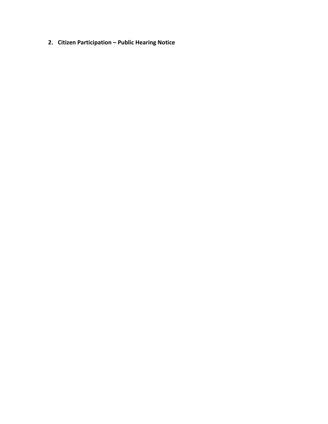**2. Citizen Participation – Public Hearing Notice**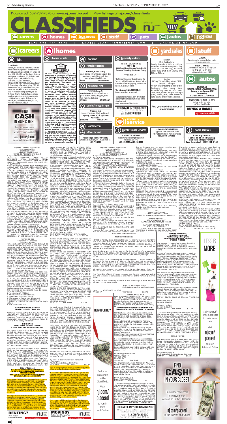# **City of Trenton REQUEST FOR PUBLIC COMMENT<br>FY 2016 CONSOLIDATED ANNUAL<br>AND EVALUATION REPORT (CAPER)<br>(from 7/1/2016 - 6/30/2017)**

The City of Trenton has prepared the FY 2016<br>CAPER in accordance with Title I of the Na-<br>tional Affordable Housing Act of 1990, P.L.<br>101-625, and the regulations at 24 CFR Part<br>91.250. The City of Trenton's Department of<br>H

The report information includes: 1) Details of<br>funds received from HUD for the Community<br>Development Block Grant (CDBG) Program,<br>the HOME Investment Partnerships Program<br>(HOME), and the Emergency Solutions Grant<br>(ESG) Prog

nj.com/realestate

njim

ders will be furnished with a copy of the draw-<br>ings and specifications by the Engineer, on<br>proper notice and payment of cost of prepara-<br>tion in the amount of \$50.00. There will be an optional pre-bid meeting on Wednesday, Sep-<br>tember 20, 2017 at 10:00 AM at the Princeton<br>Farms Pumping Station located at 232<br>Pennington Rocky Hill Road, Hopewell Town-<br>ship, NJ 08560. All prospective bidders are<br>strongly

Bids must be made on standard proposal<br>forms, in the manner designated therein, and<br>required by the specifications, must be en-<br>closed in sealed envelopes, bearing the name<br>and address of the bidder and the name of<br>the pro

**RENTING?** Gain insight into rental living.

# tion of the progress made in addressing iden-tified priority needs and objectives.

In addition, the regulations at 24 CFR 91.105<br>require a public comment period of not less<br>than 15 days. Therefore, the City is making<br>this report available to the public for comment<br>between September 11, 2017 and September

This report will be submitted to the Dep ment of Housing and Urban Development on<br>September 28, 2017. Any comments received<br>after this report is submitted will be forward-<br>ed to HUD to be made a part of the report.<br>9/11/2017 THE TIMES \$30.16

## **TOWNSHIP OF HOPEWELL ADVERTISEMENT FOR BID**

Notice is hereby given that the Township of<br>Hopewell will receive bids at 10:00 a.m. on,<br>Wednesday, September 27,2017 in the<br>Hopewell Township Municipal Building, 201<br>Washington Crossing - Pennington Road, Ti-<br>tusville, Ne

 $\frac{1}{2}$  in the consolidated Plan; and  $\frac{1}{2}$ Paul E. Pogorzelski, Administrator 9/11/2017 THE TIMES \$41.76

# **BID B17-04 PRINCETON FARMS SEWER PUMP STATION REHABILITATION**

The major constructions include but are not<br>limited to: Replacement of two (2) sewage<br>pumps with new concrete work in the<br>weetwell, removal and disposal of the 2 exist-<br>ing sewage pumps, removal of the seal water<br>shown on

Proposals must be submitted to the Township<br>Clerk, or her representative, not later than<br>10:00 a.m. on Wednesday, September 27,<br>2017. Drawings, specifications and forms of<br>bid, contract and bond for the proposed work,<br>prep

Bidders must comply with the regulations of N.J.S.A. 10:5-31 et seq and N.J.A.C. 17:27. The Township of lawrence reserves the right to ac-cept or reject any and all bids for the above listed items in whole and/or part may waive informalities that the Township may, in its sole discretion, deem to be in the Township's<br>best interest.<br>Bidders must also comply, if applicable, with<br>P.L. 1999 c. 238, "The Public Works Contractor<br>Registration Act". "Public Works" is defined as<br>the construction. de

Superior Court of New Jersey,<br>Chancery Division<br>MERCER County<br>NOTICE TO ABSENT DEFENDANT<br>NOTICE TO ABSENT DEFENDANT<br>(L.S.) STATE OF NEW JERSEY TO:<br>JEFFREY HOFFMAN

NOTICE OF PLAINTIFF'S INTENTION TO PRO-<br>CEED SUMMARILY FOR ENTRY OF A RESIDEN-<br>TIAL FORECLOSURE JUDGMENT BECAUSE THE<br>PROPERTY IS VACANT AND ABANDONED<br>TO: WAYNE BOWLES; KATHLEEN BOWLES<br>Address: 101 STURWOOD WAY, LAWRENCE<br>TO

The lender is seeking on the return date set in<br>this order, or on any adjourned date stime this court, to proceed summarily for entry of a<br>residential forcelosure judgment because theorem<br>property is vacant and abandoned.

Bidders are required to conform to all provi-sions of the Local Public Contracts Law, the Prevailing Wage Act, and the requirements of P.L.1975, C.127.

By order of the Township of Hopewell Committee.

NOTICE OF BID Township of Lawrence County of Mercer Notice is hereby given that sealed bids will be received and publicly opened and read at the

monly known as 171 MILTON AVENUE, TREN-<br>TON, New Jersey and known as LOT 30 F/K/A P507 BLOCK 2494 F/K/A 310 on the tax map of<br>Mortgage Book 09845 at Page was recorded in<br>Mortgage Book 09845 at Page 0313 in the re-<br>Cords of

3. Bid Bond/Consent of Surety 4. Disclosure of Ownership Statement 5. Contractors Qualification Statement 6. Evidence of Public Works Contractor Regis-

tration

7. Sub-contractor List



Superior Court of New Jersey,<br>Chancery Division<br>Interactory Online<br>Interaction Formulation Consection<br>NOTICE TO ABSENT DEFENDANT<br>(L.S.) STATE OF NEW JERSEY TO:<br>DAVID E. SWANHART, PENELOPE PENNY<br>SWANHART, MR. SWANHART, SPOU

YOU ARE HEREBY SUMMONDED AND REQUIRED<br>
to serve upon RAS Citron, LLC, plaintiff's attor-<br>
neys, whose address is 130 Clinton Road,<br>
suite 202, Fairfield, NJ 07004, an Answer to<br>
the Complaint fiied in a Civil Action, in wh

nj.com/realestate

njin

**MOVING?** Follow the blog packed with moving tips.

Sell your extra stuff in the Classifieds. Visit nj.com/

placead

to run in

Print and Online

**Remodeling?**

EAST WINDSOR TOWNSHIP

NOTICE TO BIDDERS

NOTICE is hereby given that sealed bids for the Purchase of new 2018<br>Full Size Sport Utility Vehicle will be received by the East Windsor<br>Township Municipal Clerk's Office on Thursday, October 12, 2017, at<br>11:00 a.m. preva

due on the note and mortgage, together with<br>interest, advances, and costs;<br>near and foreclose the defendants, and each<br>of them, of all equity of redemption in and to<br>the property being foreclosed upor;<br>E. Adjudge that the

Specifications and bid forms are on file in the office of the Municipal Clerk and may be obtained by prospective bidders at said office during regular business hours - 8:30 a.m. to 4:30 p.m. Monday through Friday.

All bids must be accompanied by a certified check, cashier's check, or<br>bid bond in the amount of 10% of the bid, but not in excess of<br>\$20,000. Bids must be in a sealed envelope addressed to the "EAST<br>WINDSOR MUNICIPAL CLER

All bidders are required to comply with the requirements of N.J.S.A. 10:5-31 et seq and N.J.A.C. 17:27, as described in the specifications.

The Township of East Windsor reserves the right to reject any and all bids and to waive informalities as the interest of the Township may require.

By order of the Township Council of the Township of East Windsor, Mercer County, New Jersey.

JANICE S. MIRONOV, Mayor Kelly Lettera, Acting Municipal Clerk

Date: SEPTEMBER 11, 2017 9/11/2017 THE TIMES \$32.19

court may determine: A. That the residential property that is the subject of this foreclosure action is vacant and abandoned as defined by N.J.S.A. 2A:50-

73; B.Fix the amount due the Plaintiff on the Note and Mortgage; C.Direct that the Plaintiff be paid the amount due on the note and mortgage, together with

shall be in a minimum of 14-Point font and shall state:

To:<br>TENANT/OCCUPANT<br>415 BUTTONWOOD STREET<br>TRENTON (HAMILTON TOWNSHIP) NJ 08619

WAYNE BOWLES 101 STURWOOD WAY LAWRENCE TOWNSHIP, NJ 08648

KATHLEEN BOWLES, HIS WIFE<br>LAWRENCE TOWNSHIP, NJ 08648<br>The lender is seeking on the return date set in<br>The lender is seeking on the return date set in

**Trea\$urein Your Basement?** Uncover those seldom used trinkets and turn them into treasure. Visit nj.com/placead to run in Print and Online

New Jersey Legal Services-Labor Counsel<br>The Delaware River Joint Toll Bridge Commis-<br>Sion, a transportation agency serving PA and<br>NJ, is seeking New Jersey Labor Counsel to<br>provide advice and services to the Commis-<br>sion o

The originally scheduled Recreation Advisory<br>Board meeting for September 18, 2017 at 7:00<br>p.m. at the Ewing Senior and Community Center has been relocated to the Hollowbrook<br>Community Center in Room 201 with the<br>same date

9/11/2017 THE TIMES \$23.78

Kim J. Macellaro, RMC Ewing Municipal Clerk

9/11/2017 THE TIMES \$6.96

ADDENDUM NO. ONE Notice is hereby given that on October 4, 2017 at 11:00 A.M. (Prevailing time), sealed propos-als will be opened and read in public by the Purchasing Agent in the Mercer County McDade Administration Building, 640 South Broad Street, Room 321, Trenton, New Jersey for: **ADVERTISING CONCESSION FOR THE TRENTON-MERCER AIRPORT CC2017-03**

Clarifications, amendments, additions, dele-tions, revisions and modifications are part of the Contract and change the original docu-ments only in the manner and to the extent

stated.

Respondents shall complete the Acknowl-edgement of Receipt of Addendum No. One and shall include the Acknowledgement with

their response.<br>Specifications and instructions may be ob-<br>stained by contacting the Department of Pur-<br>chasing at 609 989 6710 or on the Mercer<br>County Website at:<br>http://www.mercercounty.org/departments/p<br>urchasing/biddin

It is the responsibility of prospective respon-dent's to check this website for any addenda issued prior to the proposal opening. Failure to do so could result in the rejection of your

submission. Respondents are required to comply with the requirements of N.J.S.A.10:5-31 et seq. and N.J.A.C. 17:27.

Purchasing Department County of Mercer 609 989 6710 CC2017-03





Stephanie Kennedy Business Administrator/Board Secretary 9/11/17 THE TIMES \$7.54

**County of Mercer HOME Investment Partnerships Program**

this order, or on any adjourned date fixed by<br>the court, to proceed summarily for entry of a<br>residential forcelosure judgment because the<br>property is vacant and abandoned. If you fail<br>the papers on the application will be

to obtain an attorney you may communicate<br>with the Lawyer Referral Service of the County<br>of Venue and that if you cannot afford an at-<br>torney, you may communicate with the Legal<br>Services Office of the County of Venue. The<br>

**Annual Performance Report PUBLIC NOTICE**

Lawrence Township Municipal Building, lower<br>Conference Room, 2207 Lawrence Road, law-<br>cence Township NJ 08648 at 11:00 a.m. pre-<br>valing time on October 5, 2017 for the project<br>Known as Central Park Tennis Court Lighting.<br>T

The Mercer County HOME Consortium 2016 Program Year - HOME Investment Partnerships Program Annual Performance Report is available for public review and com-ment.

A copy of the 2016 Program Year - HOME In-<br>vestment Partnerships Program Annual Per-<br>formance Report draft will be available for fit-<br>teen (15) days beginning September 11, 2017<br>for public view at the Reference Desk of the

The Mercer County HOME Consortium con-<br>sists of twelve (11) constituent municipalities<br>which are: East Windsor Township, Ewing<br>Township, Hamilton Township, Hopewell Bor-<br>ough, Hopewell Township, Hightstown Bor-<br>ough, Lawre

Comments regarding the Annual Performance Report should be addressed to the Mercer County Office of Housing and Community De-velopment, 640 South Broad Street, Trenton, New Jersey 08650-0068, Room 109.

Mercer County Board of Chosen Freeholder

Edward M. Pattik Housing Director

Brian M. Hughes County Executive 9/11/2017 THE TIMES \$27.26

New Jersey Legal Services-General Counsel<br>The Delaware River Joint Toll Bridge Commis-<br>Sion, a transportation agency serving PA and<br>NJ, is seeking New Jersey General Counsel to<br>provide advice and services to the Commis-<br>si

The Princeton Board of Education will hold a<br>Board Community Session "Bagels with the<br>Board" on Friday, September 29, 2017, from<br>8:30 a.m. to 10:00 a.m. at the Valley Road Ad-<br>ministration Building, 25 Valley Road, Prince-



Sell your stuff in the Classifieds to make some cash.

> Visit nj.com/

placead to run in Print and Online

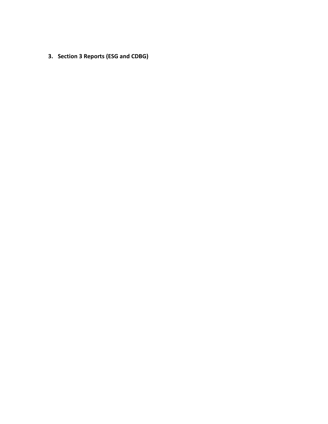**3. Section 3 Reports (ESG and CDBG)**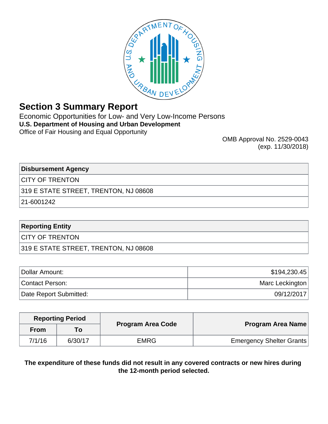

# **Section 3 Summary Report**

Economic Opportunities for Low- and Very Low-Income Persons **U.S. Department of Housing and Urban Development** Office of Fair Housing and Equal Opportunity

OMB Approval No. 2529-0043 (exp. 11/30/2018)

**Disbursement Agency**

CITY OF TRENTON

319 E STATE STREET, TRENTON, NJ 08608

21-6001242

# **Reporting Entity**

CITY OF TRENTON

319 E STATE STREET, TRENTON, NJ 08608

| Dollar Amount:         | \$194,230.45    |
|------------------------|-----------------|
| Contact Person:        | Marc Leckington |
| Date Report Submitted: | 09/12/2017      |

|             | <b>Reporting Period</b> | <b>Program Area Code</b> | Program Area Name               |
|-------------|-------------------------|--------------------------|---------------------------------|
| <b>From</b> |                         |                          |                                 |
| 7/1/16      | 6/30/17                 | <b>EMRG</b>              | <b>Emergency Shelter Grants</b> |

**The expenditure of these funds did not result in any covered contracts or new hires during the 12-month period selected.**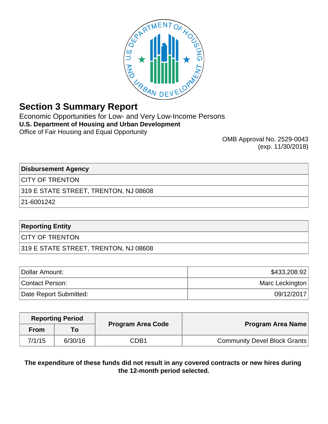

# **Section 3 Summary Report**

Economic Opportunities for Low- and Very Low-Income Persons **U.S. Department of Housing and Urban Development** Office of Fair Housing and Equal Opportunity

OMB Approval No. 2529-0043 (exp. 11/30/2018)

**Disbursement Agency**

CITY OF TRENTON

319 E STATE STREET, TRENTON, NJ 08608

21-6001242

# **Reporting Entity**

CITY OF TRENTON

319 E STATE STREET, TRENTON, NJ 08608

| Dollar Amount:         | \$433,208.92    |
|------------------------|-----------------|
| Contact Person:        | Marc Leckington |
| Date Report Submitted: | 09/12/2017      |

| Program Area Name                   | <b>Program Area Code</b> | <b>Reporting Period</b> |             |  |
|-------------------------------------|--------------------------|-------------------------|-------------|--|
|                                     |                          | To l                    | <b>From</b> |  |
| <b>Community Devel Block Grants</b> | CDB1                     | 6/30/16                 | 7/1/15      |  |

**The expenditure of these funds did not result in any covered contracts or new hires during the 12-month period selected.**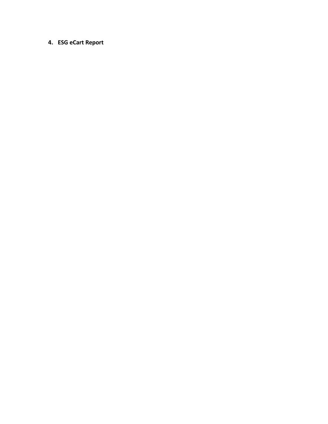# **4. ESG eCart Report**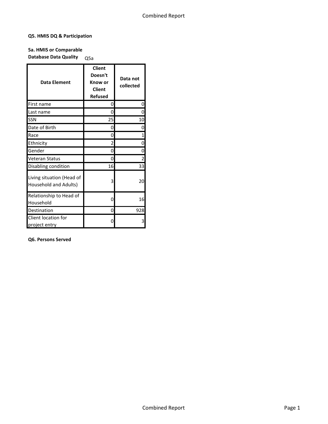## **Q5. HMIS DQ & Participation**

# **5a. HMIS or Comparable Database Data Quality** Q5a

| <b>Data Element</b>                                | <b>Client</b><br>Doesn't<br>Know or<br><b>Client</b><br><b>Refused</b> | Data not<br>collected |
|----------------------------------------------------|------------------------------------------------------------------------|-----------------------|
| First name                                         | 0                                                                      | 0                     |
| Last name                                          | 0                                                                      | ი                     |
| SSN                                                | 25                                                                     | 10                    |
| Date of Birth                                      | 0                                                                      | ი                     |
| Race                                               | 0                                                                      | 1                     |
| Ethnicity                                          | 2                                                                      | 0                     |
| Gender                                             | 0                                                                      | 0                     |
| Veteran Status                                     | 0                                                                      | $\overline{2}$        |
| Disabling condition                                | 16                                                                     | 33                    |
| Living situation (Head of<br>Household and Adults) | 3                                                                      | 20                    |
| Relationship to Head of<br>Household               | 0                                                                      | 16                    |
| Destination                                        | 0                                                                      | 928                   |
| Client location for<br>project entry               | O                                                                      | 3                     |

## **Q6. Persons Served**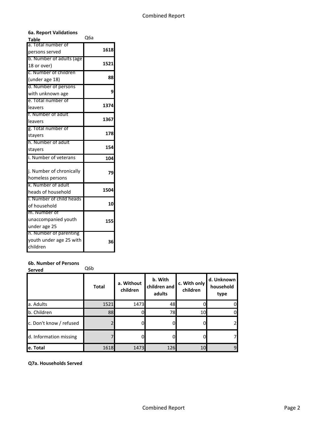| <b>Table</b>             | Q6a  |
|--------------------------|------|
| Total number of          | 1618 |
| persons served           |      |
| b. Number of adults (age |      |
| 18 or over)              | 1521 |
| c. Number of children    |      |
| (under age 18)           | 88   |
| d. Number of persons     |      |
| with unknown age         | 9    |
| e. Total number of       |      |
| leavers                  | 1374 |
| f. Number of adult       |      |
| leavers                  | 1367 |
| g. Total number of       |      |
| stayers                  | 178  |
| h. Number of adult       |      |
| stayers                  | 154  |
| i. Number of veterans    | 104  |
| j. Number of chronically |      |
| homeless persons         | 79   |
| k. Number of adult       |      |
| heads of household       | 1504 |
| I. Number of child heads |      |
| of household             | 10   |
| m. Number of             |      |
| unaccompanied youth      | 155  |
| under age 25             |      |
| n. Number of parenting   |      |
| youth under age 25 with  | 36   |
| children                 |      |

## **6b. Number of Persons**

Served Q6b

|                         | <b>Total</b> | a. Without<br>children | b. With<br>children and<br>adults | c. With only<br>children | d. Unknown<br>household<br>type |
|-------------------------|--------------|------------------------|-----------------------------------|--------------------------|---------------------------------|
| a. Adults               | 1521         | 1473                   | 48                                |                          |                                 |
| b. Children             | 88           |                        | 78                                | 10                       |                                 |
| c. Don't know / refused |              |                        | 0                                 |                          |                                 |
| d. Information missing  |              |                        | O                                 |                          |                                 |
| e. Total                | 1618         | 1473                   | 126                               | 10                       | 91                              |

**Q7a. Households Served**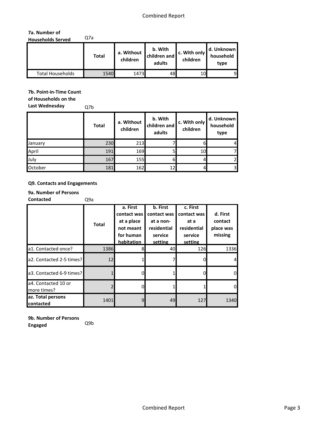## **7a. Number of Households Served** Q7a

|                  | <b>Total</b> | a. Without<br>children | b. With<br>children and<br>adults | c. With only<br>children | d. Unknown<br>household<br>type |
|------------------|--------------|------------------------|-----------------------------------|--------------------------|---------------------------------|
| Total Households | 1540         | 1473                   | 48                                | 10                       | 9                               |

## **7b. Point-in-Time Count**

**of Households on the** 

**Last Wednesday** Q7b

|         | <b>Total</b> | a. Without<br>children | b. With<br>children and<br>adults | c. With only<br>children | d. Unknown<br>household<br>type |
|---------|--------------|------------------------|-----------------------------------|--------------------------|---------------------------------|
| January | 230          | 213                    |                                   |                          | 4                               |
| April   | 191          | 169                    | 51                                | 10                       |                                 |
| July    | 167          | 155                    | 61                                |                          | 2                               |
| October | 181          | 162                    | 12                                |                          | $\overline{\mathbf{3}}$         |

## **Q9. Contacts and Engagements**

## **9a. Number of Persons**

**Contacted** Q9a

|                                    | <b>Total</b> | a. First<br>contact was<br>at a place<br>not meant<br>for human<br>habitation | b. First<br>contact was<br>at a non-<br>residential<br>service<br>setting | c. First<br>contact was<br>at a<br>residential<br>service<br>setting | d. First<br>contact<br>place was<br>missing |
|------------------------------------|--------------|-------------------------------------------------------------------------------|---------------------------------------------------------------------------|----------------------------------------------------------------------|---------------------------------------------|
| a1. Contacted once?                | 1386         |                                                                               | 40                                                                        | 126                                                                  | 1336                                        |
| a2. Contacted 2-5 times?           | 12           |                                                                               |                                                                           |                                                                      |                                             |
| a3. Contacted 6-9 times?           |              |                                                                               |                                                                           |                                                                      | O                                           |
| a4. Contacted 10 or<br>more times? |              |                                                                               |                                                                           |                                                                      | $\Omega$                                    |
| az. Total persons<br>contacted     | 1401         | 9                                                                             | 49                                                                        | 127                                                                  | 1340                                        |

**9b. Number of Persons Engaged** Q9b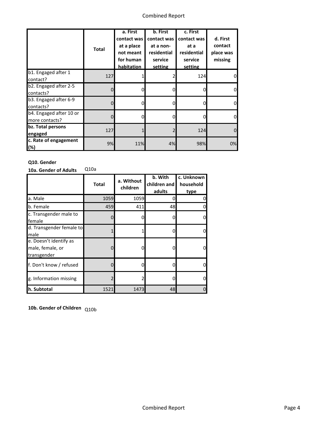|                                           | <b>Total</b>   | a. First<br>contact was<br>at a place<br>not meant<br>for human<br>habitation | b. First<br>contact was<br>at a non-<br>residential<br>service<br>setting | c. First<br>contact was<br>at a<br>residential<br>service<br>setting | d. First<br>contact<br>place was<br>missing |
|-------------------------------------------|----------------|-------------------------------------------------------------------------------|---------------------------------------------------------------------------|----------------------------------------------------------------------|---------------------------------------------|
| b1. Engaged after 1<br>contact?           | 127            |                                                                               |                                                                           | 124                                                                  |                                             |
| b2. Engaged after 2-5<br>contacts?        | $\mathbf{0}$   |                                                                               | 0                                                                         | 0                                                                    |                                             |
| b3. Engaged after 6-9<br>contacts?        | $\overline{0}$ |                                                                               | 0                                                                         | $\Omega$                                                             |                                             |
| b4. Engaged after 10 or<br>more contacts? | 0              | 0                                                                             | 0                                                                         | $\Omega$                                                             |                                             |
| bz. Total persons<br>engaged              | 127            |                                                                               | 2                                                                         | 124                                                                  |                                             |
| c. Rate of engagement<br>(%)              | 9%             | 11%                                                                           | 4%                                                                        | 98%                                                                  | 0%                                          |

## **Q10. Gender**

**10a. Gender of Adults** Q10a

|                                                           | <b>Total</b> | a. Without<br>children | b. With<br>children and<br>adults | c. Unknown<br>household<br>type |
|-----------------------------------------------------------|--------------|------------------------|-----------------------------------|---------------------------------|
| a. Male                                                   | 1059         | 1059                   |                                   |                                 |
| b. Female                                                 | 459          | 411                    | 48                                |                                 |
| c. Transgender male to<br>female                          |              | 0                      |                                   |                                 |
| d. Transgender female to<br>male                          |              |                        |                                   | 0                               |
| e. Doesn't identify as<br>male, female, or<br>transgender |              | 0                      |                                   | o                               |
| f. Don't know / refused                                   |              | 0                      |                                   |                                 |
| g. Information missing                                    |              |                        |                                   |                                 |
| h. Subtotal                                               | 1521         | 1473                   | 48                                |                                 |

**10b. Gender of Children** Q10b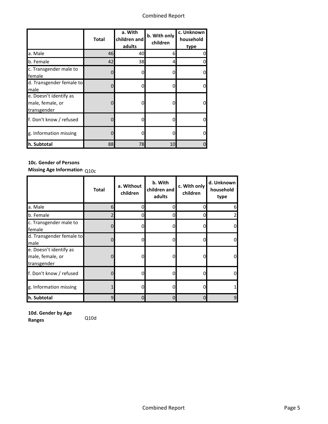|                                                           | <b>Total</b> | a. With<br>children and<br>adults | b. With only<br>children | c. Unknown<br>household<br>type |
|-----------------------------------------------------------|--------------|-----------------------------------|--------------------------|---------------------------------|
| a. Male                                                   | 46           | 40                                |                          |                                 |
| b. Female                                                 | 42           | 38                                | 4                        |                                 |
| c. Transgender male to<br>female                          |              | 0                                 |                          |                                 |
| d. Transgender female to<br>male                          | 0            | 0                                 |                          |                                 |
| e. Doesn't identify as<br>male, female, or<br>transgender |              | 0                                 |                          |                                 |
| f. Don't know / refused                                   | $\Omega$     | 0                                 |                          |                                 |
| g. Information missing                                    |              | 0                                 |                          |                                 |
| h. Subtotal                                               | 88           | 78                                | 10                       |                                 |

## **10c. Gender of Persons**

**Missing Age Information** Q10c

|                                                           | <b>Total</b> | a. Without<br>children | b. With<br>children and<br>adults | c. With only<br>children | d. Unknown<br>household<br>type |
|-----------------------------------------------------------|--------------|------------------------|-----------------------------------|--------------------------|---------------------------------|
| a. Male                                                   | 6            |                        | 0                                 |                          | 6                               |
| b. Female                                                 |              | n                      | 0                                 |                          | 2                               |
| c. Transgender male to<br>female                          | 0            |                        | 0                                 |                          | $\Omega$                        |
| d. Transgender female to<br>male                          | 0            |                        | 0                                 |                          | 0l                              |
| e. Doesn't identify as<br>male, female, or<br>transgender | 0            | O                      | 0                                 |                          | $\mathbf{0}$                    |
| f. Don't know / refused                                   | $\mathbf{0}$ | 0                      | 0                                 |                          | $\mathbf{0}$                    |
| g. Information missing                                    |              | Ω                      | 0                                 |                          |                                 |
| h. Subtotal                                               | 9            |                        | 0                                 |                          | 9                               |

**10d. Gender by Age Ranges** Q10d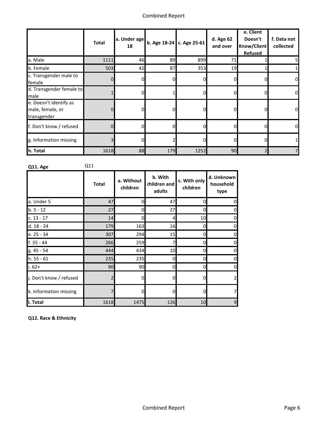|                                                           | <b>Total</b> | 18 | $\left $ a. Under age $\right $ b. Age 18-24 $\left $ c. Age 25-61 $\right $ |      | d. Age 62<br>and over | e. Client<br>Doesn't<br>Know/Client<br><b>Refused</b> | f. Data not<br>collected |
|-----------------------------------------------------------|--------------|----|------------------------------------------------------------------------------|------|-----------------------|-------------------------------------------------------|--------------------------|
| a. Male                                                   | 1111         | 46 | 89                                                                           | 899  | 71                    |                                                       |                          |
| b. Female                                                 | 503          | 42 | 87                                                                           | 353  | 19                    |                                                       |                          |
| c. Transgender male to<br>female                          | 01           | ΟI | 01                                                                           |      | 0                     |                                                       | 0                        |
| d. Transgender female to<br>male                          |              | ΟI |                                                                              | 0l   | 0                     | O                                                     | 0                        |
| e. Doesn't identify as<br>male, female, or<br>transgender | 0            | O. | 01                                                                           |      | 0                     |                                                       | 0                        |
| f. Don't know / refused                                   | 0            | 0Ι | 0                                                                            | 0    | 0                     | O                                                     | 0                        |
| g. Information missing                                    | 3            | 0Ι | 2                                                                            | 0    | 0                     |                                                       |                          |
| h. Total                                                  | 1618         | 88 | 179                                                                          | 1252 | 90                    |                                                       |                          |

**Q11. Age** Q11

|                         | <b>Total</b>   | a. Without<br>children | b. With<br>children and<br>adults | c. With only<br>children | d. Unknown<br>household<br>type |
|-------------------------|----------------|------------------------|-----------------------------------|--------------------------|---------------------------------|
| a. Under 5              | 47             | $\Omega$               | 47                                | 0                        |                                 |
| $b.5 - 12$              | 27             | 0                      | 27                                | 0                        |                                 |
| $c. 13 - 17$            | 14             | 0                      | $\overline{4}$                    | 10                       |                                 |
| d. 18 - 24              | 179            | 163                    | 16                                | 0                        | 0                               |
| e. 25 - 34              | 307            | 294                    | 15                                | 0                        | 0                               |
| f. 35 - 44              | 266            | 259                    | 7                                 | 0                        | 0                               |
| g. 45 - 54              | 444            | 434                    | 10                                | 0                        |                                 |
| h. 55 - 61              | 235            | 235                    | <sub>0</sub>                      | 0                        | 0                               |
| $i.62+$                 | 90             | 90                     | 0                                 | 0                        |                                 |
| j. Don't know / refused | $\overline{2}$ |                        | 0                                 | 0                        |                                 |
| k. Information missing  | 7              | <sup>n</sup>           | 0                                 | 0                        |                                 |
| II. Total               | 1618           | 1475                   | 126                               | 10                       | 9                               |

**Q12. Race & Ethnicity**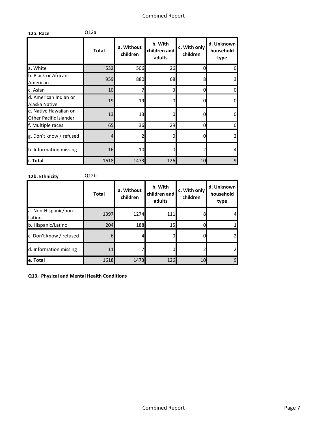| 12a. Race                                       | Q12a         |                        |                                   |                          |                                 |
|-------------------------------------------------|--------------|------------------------|-----------------------------------|--------------------------|---------------------------------|
|                                                 | <b>Total</b> | a. Without<br>children | b. With<br>children and<br>adults | c. With only<br>children | d. Unknown<br>household<br>type |
| a. White                                        | 532          | 506                    | 26                                | 0                        | 0                               |
| b. Black or African-<br>American                | 959          | 880                    | 68                                | 8                        | 3                               |
| c. Asian                                        | 10           |                        | 3                                 |                          | 0                               |
| d. American Indian or<br>Alaska Native          | 19           | 19                     | 0                                 |                          | $\overline{0}$                  |
| e. Native Hawaiian or<br>Other Pacific Islander | 13           | 13 <sup>l</sup>        | 0                                 |                          | 0                               |
| f. Multiple races                               | 65           | 36                     | 29                                | n                        | 0                               |
| g. Don't know / refused                         | 4            |                        | 0                                 |                          | $\overline{a}$                  |
| h. Information missing                          | 16           | 10                     | 0                                 |                          | 4                               |
| i. Total                                        | 1618         | 1473                   | 126                               | 10                       | 9                               |

**12b. Ethnicity** Q12b

|                                | <b>Total</b> | a. Without<br>children | b. With<br>children and<br>adults | c. With only<br>children | d. Unknown<br>household<br>type |
|--------------------------------|--------------|------------------------|-----------------------------------|--------------------------|---------------------------------|
| a. Non-Hispanic/non-<br>Latino | 1397         | 1274                   | 111                               |                          | 4                               |
| b. Hispanic/Latino             | 204          | 188                    | 15 <sup>1</sup>                   |                          |                                 |
| c. Don't know / refused        | 61           |                        |                                   |                          |                                 |
| d. Information missing         | 11           |                        |                                   |                          |                                 |
| e. Total                       | 1618         | 1473                   | 126                               | 10                       | 9                               |

**Q13. Physical and Mental Health Conditions**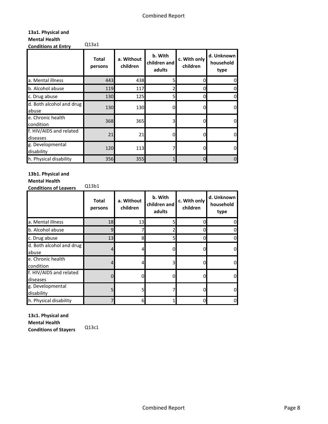## **13a1. Physical and Mental Health Conditions at Entry** Q13a1

|                                     | <b>Total</b><br>persons | a. Without<br>children | b. With<br>children and<br>adults | c. With only<br>children | d. Unknown<br>household<br>type |
|-------------------------------------|-------------------------|------------------------|-----------------------------------|--------------------------|---------------------------------|
| a. Mental illness                   | 443                     | 438                    |                                   |                          |                                 |
| b. Alcohol abuse                    | 119                     | 117                    |                                   | 0                        |                                 |
| c. Drug abuse                       | 130                     | 125                    | 5                                 | 0                        |                                 |
| d. Both alcohol and drug<br>abuse   | 130                     | 130                    | n                                 |                          |                                 |
| e. Chronic health<br>condition      | 368                     | 365                    | 3                                 |                          |                                 |
| f. HIV/AIDS and related<br>diseases | 21                      | 21                     | n                                 |                          |                                 |
| g. Developmental<br>disability      | 120                     | 113                    |                                   |                          |                                 |
| h. Physical disability              | 356                     | 355                    |                                   | 0                        |                                 |

## **13b1. Physical and**

## **Mental Health**

**Conditions of Leavers** Q13b1

|                                     | <b>Total</b><br>persons | a. Without<br>children | b. With<br>children and<br>adults | c. With only<br>children | d. Unknown<br>household<br>type |
|-------------------------------------|-------------------------|------------------------|-----------------------------------|--------------------------|---------------------------------|
| a. Mental illness                   | 18                      | 13                     | 51                                |                          |                                 |
| b. Alcohol abuse                    | 9                       |                        |                                   |                          |                                 |
| c. Drug abuse                       | 13                      | 8                      | 51                                |                          |                                 |
| d. Both alcohol and drug<br>abuse   | 4                       | 4                      | $\Omega$                          |                          |                                 |
| e. Chronic health<br>condition      |                         |                        | 3                                 |                          |                                 |
| f. HIV/AIDS and related<br>diseases | $\Omega$                | n                      | 0                                 |                          |                                 |
| g. Developmental<br>disability      |                         |                        |                                   |                          |                                 |
| h. Physical disability              |                         | 6                      |                                   |                          |                                 |

**13c1. Physical and Mental Health Conditions of Stayers** Q13c1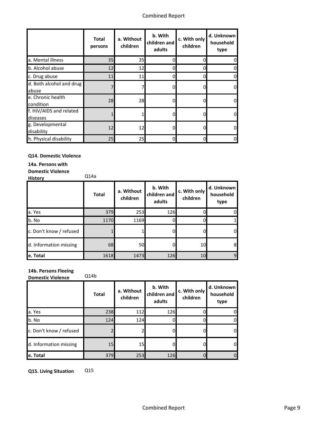|                                     | <b>Total</b><br>persons | a. Without<br>children | b. With<br>children and<br>adults | c. With only<br>children | d. Unknown<br>household<br>type |
|-------------------------------------|-------------------------|------------------------|-----------------------------------|--------------------------|---------------------------------|
| a. Mental illness                   | 35                      | 35                     | O                                 |                          | O                               |
| b. Alcohol abuse                    | 12                      | 12                     | 0                                 |                          | 0                               |
| c. Drug abuse                       | 11                      | 11                     |                                   |                          | 0                               |
| d. Both alcohol and drug<br>abuse   |                         |                        | O                                 |                          | 0                               |
| e. Chronic health<br>condition      | 28                      | 28                     | 0                                 |                          | 0                               |
| f. HIV/AIDS and related<br>diseases |                         |                        | 0                                 |                          | 0                               |
| g. Developmental<br>disability      | 12                      | 12                     | O                                 |                          | $\Omega$                        |
| h. Physical disability              | 25                      | 25                     | 0                                 |                          | 0                               |

## **Q14. Domestic Violence**

**14a. Persons with** 

**Domestic Violence** 

**History** Q14a

|                         | <b>Total</b> | a. Without<br>children | b. With<br>children and<br>adults | c. With only<br>children | d. Unknown<br>household<br>type |
|-------------------------|--------------|------------------------|-----------------------------------|--------------------------|---------------------------------|
| a. Yes                  | 379          | 253                    | 126                               |                          |                                 |
| b. No                   | 1170         | 1169                   |                                   |                          |                                 |
| c. Don't know / refused |              |                        | O.                                |                          | DI                              |
| d. Information missing  | 68           | 50                     |                                   | 10                       | 8                               |
| e. Total                | 1618         | 1473                   | 126                               | 10                       | 9                               |

## **14b. Persons Fleeing**

**Domestic Violence** Q14b

| <b>DOMICSUL VIOIENLE</b> |              |                        |                                   |                          |                                 |  |  |
|--------------------------|--------------|------------------------|-----------------------------------|--------------------------|---------------------------------|--|--|
|                          | <b>Total</b> | a. Without<br>children | b. With<br>children and<br>adults | c. With only<br>children | d. Unknown<br>household<br>type |  |  |
| a. Yes                   | 238          | 112                    | 126                               |                          |                                 |  |  |
| b. No                    | 124          | 124                    |                                   |                          |                                 |  |  |
| c. Don't know / refused  |              |                        |                                   |                          |                                 |  |  |
| d. Information missing   | 15           | 15                     |                                   |                          |                                 |  |  |
| e. Total                 | 379          | 253                    | 126                               |                          |                                 |  |  |

**Q15. Living Situation** Q15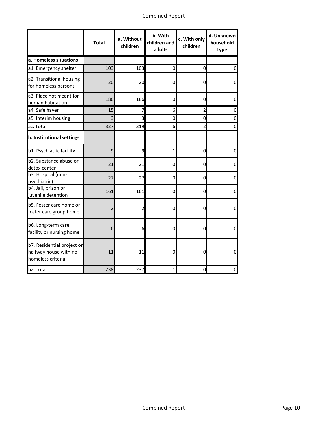|                                                                          | <b>Total</b>   | a. Without<br>children | b. With<br>children and<br>adults | c. With only<br>children | d. Unknown<br>household<br>type |
|--------------------------------------------------------------------------|----------------|------------------------|-----------------------------------|--------------------------|---------------------------------|
| a. Homeless situations                                                   |                |                        |                                   |                          |                                 |
| a1. Emergency shelter                                                    | 103            | 103                    | $\mathbf 0$                       | $\mathbf 0$              | 0                               |
| a2. Transitional housing<br>for homeless persons                         | 20             | 20                     | 0                                 | 0                        |                                 |
| a3. Place not meant for<br>human habitation                              | 186            | 186                    | 0                                 | 0                        | O                               |
| a4. Safe haven                                                           | 15             | 7                      | 6                                 | $\overline{a}$           |                                 |
| a5. Interim housing                                                      | 3              | 3                      | 0                                 | 0                        |                                 |
| az. Total                                                                | 327            | 319                    | 6                                 | $\overline{2}$           |                                 |
| b. Institutional settings                                                |                |                        |                                   |                          |                                 |
| b1. Psychiatric facility                                                 | $\overline{9}$ | 9                      | $\mathbf 1$                       | 0                        |                                 |
| b2. Substance abuse or<br>detox center                                   | 21             | 21                     | 0                                 | 0                        | 0                               |
| b3. Hospital (non-<br>psychiatric)                                       | 27             | 27                     | $\mathbf 0$                       | 0                        |                                 |
| b4. Jail, prison or<br>juvenile detention                                | 161            | 161                    | 0                                 | $\mathbf 0$              | 0                               |
| b5. Foster care home or<br>foster care group home                        | $\overline{2}$ |                        | 0                                 | 0                        | 0                               |
| b6. Long-term care<br>facility or nursing home                           | 6              | 6                      | 0                                 | 0                        |                                 |
| b7. Residential project or<br>halfway house with no<br>homeless criteria | 11             | 11                     | 0                                 | 0                        |                                 |
| bz. Total                                                                | 238            | 237                    | 1                                 | 0                        |                                 |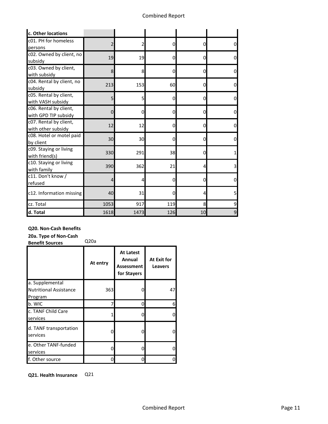| c. Other locations        |                |      |                |    |                |
|---------------------------|----------------|------|----------------|----|----------------|
| c01. PH for homeless      | $\overline{2}$ | 2    | 0              | 0  | 0              |
| persons                   |                |      |                |    |                |
| c02. Owned by client, no  | 19             | 19   | 0              | 0  | o              |
| subsidy                   |                |      |                |    |                |
| c03. Owned by client,     | 8              | 8    | $\Omega$       | 0  | <sub>0</sub>   |
| with subsidy              |                |      |                |    |                |
| c04. Rental by client, no | 213            | 153  | 60             | 0  | 0              |
| subsidy                   |                |      |                |    |                |
| c05. Rental by client,    | 5              | 5    | 0              | 0  | 0              |
| with VASH subsidy         |                |      |                |    |                |
| c06. Rental by client,    | 0              | 0    | $\mathbf 0$    | n  | 0              |
| with GPD TIP subsidy      |                |      |                |    |                |
| c07. Rental by client,    | 12             | 12   | $\overline{0}$ | 0  | Ω              |
| with other subsidy        |                |      |                |    |                |
| c08. Hotel or motel paid  | 30             | 30   | 0              | 0  | <sub>0</sub>   |
| by client                 |                |      |                |    |                |
| c09. Staying or living    | 330            | 291  | 38             | U  |                |
| with friend(s)            |                |      |                |    |                |
| c10. Staying or living    | 390            | 362  | 21             | 4  | 3              |
| with family               |                |      |                |    |                |
| c11. Don't know /         | $\overline{4}$ | 4    | $\overline{0}$ | 0  | 0              |
| refused                   |                |      |                |    |                |
| c12. Information missing  | 40             | 31   | 0              |    | 5              |
| cz. Total                 | 1053           | 917  | 119            | 8  | 9              |
| d. Total                  | 1618           | 1473 | 126            | 10 | $\overline{9}$ |

## **Q20. Non-Cash Benefits**

**20a. Type of Non-Cash** 

**Benefit Sources** Q20a

|                                                  | At entry | <b>At Latest</b><br>Annual<br>Assessment<br>for Stayers | At Exit for<br><b>Leavers</b> |
|--------------------------------------------------|----------|---------------------------------------------------------|-------------------------------|
| a. Supplemental<br><b>Nutritional Assistance</b> | 363      | U                                                       | 47                            |
| Program                                          |          |                                                         |                               |
| b. WIC                                           |          | ი                                                       | 6                             |
| c. TANF Child Care<br>services                   |          | O                                                       | 0                             |
| d. TANF transportation<br>services               |          | 0                                                       | 0                             |
| e. Other TANF-funded<br>services                 |          |                                                         | 0                             |
| f. Other source                                  |          |                                                         | 0                             |

**Q21. Health Insurance** Q21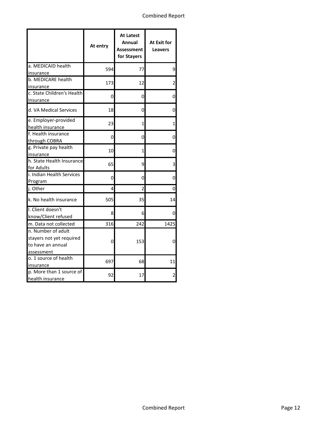|                                              | At entry | <b>At Latest</b><br>Annual<br><b>Assessment</b><br>for Stayers | At Exit for<br><b>Leavers</b> |
|----------------------------------------------|----------|----------------------------------------------------------------|-------------------------------|
| a. MEDICAID health                           | 594      | 77                                                             | 9                             |
| insurance                                    |          |                                                                |                               |
| b. MEDICARE health<br>insurance              | 173      | 12                                                             | 2                             |
| c. State Children's Health<br>Insurance      | 0        | 0                                                              | 0                             |
| d. VA Medical Services                       | 18       | 0                                                              | 0                             |
| e. Employer-provided<br>health insurance     | 23       | 1                                                              | 1                             |
| f. Health insurance<br>through COBRA         | 0        | 0                                                              | 0                             |
| g. Private pay health<br>insurance           | 10       | 1                                                              | 0                             |
| h. State Health Insurance<br>for Adults      | 65       | 9                                                              | 3                             |
| i. Indian Health Services<br>Program         | 0        | 0                                                              | 0                             |
| j. Other                                     | 4        | 2                                                              | 0                             |
| k. No health insurance                       | 505      | 35                                                             | 14                            |
| I. Client doesn't<br>know/Client refused     | 8        | 6                                                              | 0                             |
| m. Data not collected                        | 316      | 242                                                            | 1425                          |
| n. Number of adult                           |          |                                                                |                               |
| stayers not yet required                     | 0        | 153                                                            | 0                             |
| to have an annual                            |          |                                                                |                               |
| assessment                                   |          |                                                                |                               |
| o. 1 source of health                        | 697      | 68                                                             | 11                            |
| insurance                                    |          |                                                                |                               |
| p. More than 1 source of<br>health insurance | 92       | 17                                                             | 2                             |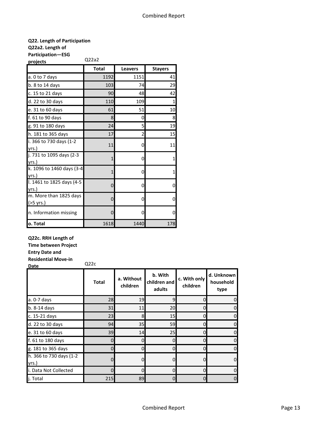## **Q22. Length of Participation**

**Q22a2. Length of** 

**Participation—ESG projects** Q22a2

| <u>projects</u>                     | uccuc        |                |                |  |  |  |
|-------------------------------------|--------------|----------------|----------------|--|--|--|
|                                     | <b>Total</b> | <b>Leavers</b> | <b>Stayers</b> |  |  |  |
| a. 0 to 7 days                      | 1192         | 1151           | 41             |  |  |  |
| $b. 8$ to 14 days                   | 103          | 74             | 29             |  |  |  |
| c. 15 to 21 days                    | 90           | 48             | 42             |  |  |  |
| d. 22 to 30 days                    | 110          | 109            | 1              |  |  |  |
| e. 31 to 60 days                    | 61           | 51             | 10             |  |  |  |
| f. 61 to 90 days                    | 8            | 0              | 8              |  |  |  |
| g. 91 to 180 days                   | 24           | 5              | 19             |  |  |  |
| h. 181 to 365 days                  | 17           | 2              | 15             |  |  |  |
| i. 366 to 730 days (1-2)<br>yrs.)   | 11           | 0              | 11             |  |  |  |
| j. 731 to 1095 days (2-3<br>yrs.)   |              | 0              | 1              |  |  |  |
| k. 1096 to 1460 days (3-4<br>yrs.)  |              | 0              |                |  |  |  |
| I. 1461 to 1825 days (4-5<br>yrs.)  | 0            | 0              | 0              |  |  |  |
| m. More than 1825 days<br>(>5 yrs.) | 0            | 0              | 0              |  |  |  |
| n. Information missing              | $\Omega$     | 0              | 0              |  |  |  |
| o. Total                            | 1618         | 1440           | 178            |  |  |  |

**Q22c. RRH Length of** 

**Time between Project** 

**Entry Date and** 

**Residential Move-in Date** Q22c

|                                  | <b>Total</b> | a. Without<br>children | b. With<br>children and<br>adults | c. With only<br>children | d. Unknown<br>household<br>type |
|----------------------------------|--------------|------------------------|-----------------------------------|--------------------------|---------------------------------|
| a. 0-7 days                      | 28           | 19                     | q                                 | 0                        |                                 |
| b. 8-14 days                     | 31           | 11                     | 20                                | 0                        |                                 |
| c. 15-21 days                    | 23           | 8                      | 15                                | 0                        |                                 |
| d. 22 to 30 days                 | 94           | 35 <sub>l</sub>        | 59                                | 0                        |                                 |
| e. 31 to 60 days                 | 39           | 14                     | 25                                | 0                        |                                 |
| f. 61 to 180 days                | 0            |                        |                                   |                          |                                 |
| g. 181 to 365 days               | 0            | O                      | $\Omega$                          | $\Omega$                 |                                 |
| h. 366 to 730 days (1-2<br>yrs.) | 0            |                        |                                   | 0                        |                                 |
| i. Data Not Collected            | $\Omega$     |                        | $\Omega$                          | $\Omega$                 |                                 |
| i. Total                         | 215          | 89                     | 0                                 | 0                        |                                 |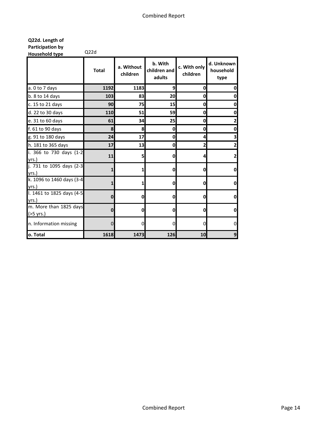| Q22d. Length of  |      |
|------------------|------|
| Participation by |      |
| Household type   | Q22d |

|                                     | <b>Total</b> | a. Without<br>children | b. With<br>children and<br>adults | c. With only<br>children | d. Unknown<br>household<br>type |
|-------------------------------------|--------------|------------------------|-----------------------------------|--------------------------|---------------------------------|
| a. 0 to 7 days                      | 1192         | 1183                   | 9                                 | 0                        | O                               |
| b. 8 to 14 days                     | 103          | 83                     | 20                                | 0                        | 0                               |
| c. 15 to 21 days                    | 90           | 75                     | 15                                | 0                        | $\mathbf{0}$                    |
| d. 22 to 30 days                    | 110          | 51                     | 59                                | 0                        | O                               |
| e. 31 to 60 days                    | 61           | 34                     | 25                                | 0                        | 2                               |
| f. 61 to 90 days                    | 8            | 8                      | $\mathbf 0$                       | 0                        | $\mathbf{0}$                    |
| g. 91 to 180 days                   | 24           | 17                     | $\mathbf 0$                       | 4                        | 3                               |
| h. 181 to 365 days                  | 17           | 13                     | $\mathbf 0$                       | 2                        | $\mathbf{2}$                    |
| i. 366 to 730 days (1-2<br>vrs.)    | 11           | 5                      | $\mathbf{0}$                      |                          | $\mathbf{z}$                    |
| j. 731 to 1095 days (2-3<br>yrs.)   | 1            | 1                      | $\mathbf 0$                       | O                        | O                               |
| k. 1096 to 1460 days (3-4<br>yrs.)  | 1            | 1                      | $\mathbf{0}$                      | O                        | $\mathbf{0}$                    |
| I. 1461 to 1825 days (4-5<br>yrs.)  | $\mathbf 0$  | 0                      | 0                                 | 0                        | O                               |
| m. More than 1825 days<br>(>5 yrs.) | $\bf{0}$     | O                      | $\mathbf 0$                       | 0                        | $\mathbf{0}$                    |
| n. Information missing              | $\Omega$     | 0                      | $\Omega$                          | 0                        | 0                               |
| o. Total                            | 1618         | 1473                   | 126                               | 10                       | $\overline{9}$                  |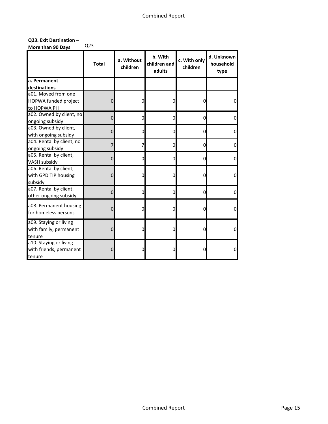## **Q23. Exit Destination – More than 90 Days** Q23

|                           | <b>Total</b>   | a. Without<br>children | b. With<br>children and<br>adults | c. With only<br>children | d. Unknown<br>household<br>type |
|---------------------------|----------------|------------------------|-----------------------------------|--------------------------|---------------------------------|
| a. Permanent              |                |                        |                                   |                          |                                 |
| destinations              |                |                        |                                   |                          |                                 |
| a01. Moved from one       |                |                        |                                   |                          |                                 |
| HOPWA funded project      | $\mathbf 0$    | 0                      | 0                                 | 0                        | 0                               |
| to HOPWA PH               |                |                        |                                   |                          |                                 |
| a02. Owned by client, no  | $\overline{0}$ | 0                      | 0                                 | 0                        | O                               |
| ongoing subsidy           |                |                        |                                   |                          |                                 |
| a03. Owned by client,     | 0              | 0                      | 0                                 | 0                        |                                 |
| with ongoing subsidy      |                |                        |                                   |                          |                                 |
| a04. Rental by client, no | 7              | 7                      | 0                                 | 0                        |                                 |
| ongoing subsidy           |                |                        |                                   |                          |                                 |
| a05. Rental by client,    | $\overline{0}$ | 0                      | 0                                 | 0                        |                                 |
| <b>VASH subsidy</b>       |                |                        |                                   |                          |                                 |
| a06. Rental by client,    |                |                        |                                   |                          |                                 |
| with GPD TIP housing      | $\mathbf 0$    | 0                      | 0                                 | 0                        | n                               |
| subsidy                   |                |                        |                                   |                          |                                 |
| a07. Rental by client,    | $\mathbf 0$    | 0                      | 0                                 | 0                        | 0                               |
| other ongoing subsidy     |                |                        |                                   |                          |                                 |
| a08. Permanent housing    |                |                        |                                   |                          |                                 |
| for homeless persons      | $\mathbf 0$    | 0                      | 0                                 | 0                        | $\Omega$                        |
|                           |                |                        |                                   |                          |                                 |
| a09. Staying or living    |                |                        |                                   |                          |                                 |
| with family, permanent    | $\mathbf 0$    | 0                      | 0                                 | 0                        | 0                               |
| tenure                    |                |                        |                                   |                          |                                 |
| a10. Staying or living    |                |                        |                                   |                          |                                 |
| with friends, permanent   | $\mathbf 0$    | 0                      | 0                                 | 0                        | 0                               |
| tenure                    |                |                        |                                   |                          |                                 |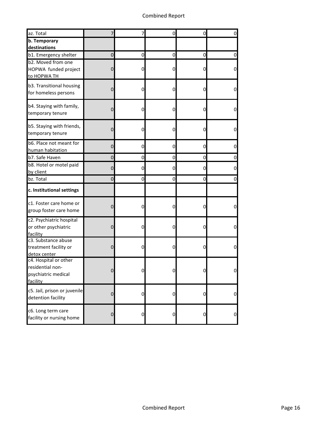| az. Total                                                                    | 7              | 7              | 0              | 0 | 0              |
|------------------------------------------------------------------------------|----------------|----------------|----------------|---|----------------|
| b. Temporary                                                                 |                |                |                |   |                |
| destinations                                                                 |                |                |                |   |                |
| b1. Emergency shelter                                                        | 0              | 0              | $\overline{0}$ | 0 | 0              |
| b2. Moved from one<br>HOPWA funded project<br>to HOPWA TH                    | 0              | $\overline{0}$ | 0              | 0 | $\overline{0}$ |
| b3. Transitional housing<br>for homeless persons                             | 0              | 0              | 0              | 0 | 0              |
| b4. Staying with family,<br>temporary tenure                                 | 0              | 0              | 0              | 0 | <sub>0</sub>   |
| b5. Staying with friends,<br>temporary tenure                                | 0              | 0              | 0              | 0 | 0              |
| b6. Place not meant for<br>human habitation                                  | 0              | 0              | $\Omega$       | 0 | 0              |
| b7. Safe Haven                                                               | 0              | $\mathbf 0$    | $\overline{0}$ | 0 | 0              |
| b8. Hotel or motel paid<br>by client                                         | 0              | 0              | 0              | 0 | 0              |
| bz. Total                                                                    | 0              | 0              | 0              | 0 | 0              |
| c. Institutional settings                                                    |                |                |                |   |                |
| c1. Foster care home or<br>group foster care home                            | 0              | 0              | 0              | 0 | $\mathbf 0$    |
| c2. Psychiatric hospital<br>or other psychiatric<br>facility                 | 0              | $\overline{0}$ | 0              | 0 | 0              |
| c3. Substance abuse<br>treatment facility or<br>detox center                 | 0              | $\overline{0}$ | 0              | 0 | $\overline{0}$ |
| c4. Hospital or other<br>residential non-<br>psychiatric medical<br>facility | 0              | $\mathbf{0}$   | 0              | 0 | $\mathbf{0}$   |
| c5. Jail, prison or juvenile<br>detention facility                           | $\pmb{0}$      | $\overline{0}$ | $\overline{0}$ | 0 | $\overline{0}$ |
| c6. Long term care<br>facility or nursing home                               | $\overline{0}$ | $\overline{0}$ | $\overline{0}$ | 0 | $\overline{0}$ |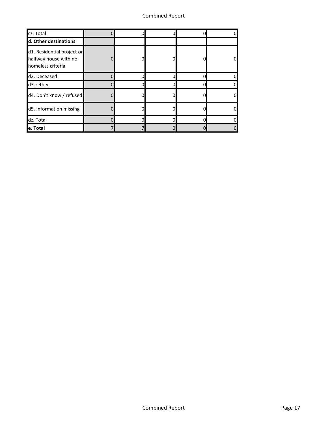| cz. Total                                                                | 0        | 0 | 0 |
|--------------------------------------------------------------------------|----------|---|---|
| d. Other destinations                                                    |          |   |   |
| d1. Residential project or<br>halfway house with no<br>homeless criteria | 0        |   | 0 |
| d2. Deceased                                                             | n        |   | 0 |
| d3. Other                                                                | n        | n | 0 |
| d4. Don't know / refused                                                 | 0        |   | 0 |
| d5. Information missing                                                  | 0        |   | 0 |
| dz. Total                                                                | $\Omega$ | n | 0 |
| e. Total                                                                 |          |   | 0 |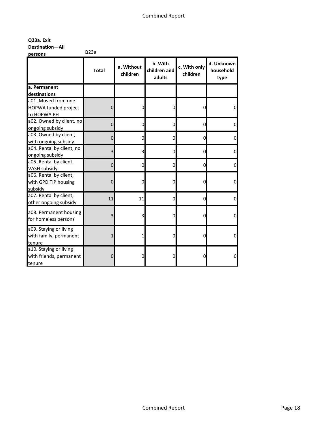**Q23a. Exit** 

**Destination—All** 

**persons** Q23a

|                                         | <b>Total</b>   | a. Without<br>children | b. With<br>children and<br>adults | c. With only<br>children | d. Unknown<br>household<br>type |
|-----------------------------------------|----------------|------------------------|-----------------------------------|--------------------------|---------------------------------|
| a. Permanent                            |                |                        |                                   |                          |                                 |
| destinations<br>a01. Moved from one     |                |                        |                                   |                          |                                 |
|                                         |                |                        |                                   |                          |                                 |
| HOPWA funded project                    | 0              | 0                      | 0                                 | 0                        | 0                               |
| to HOPWA PH<br>a02. Owned by client, no |                |                        |                                   |                          |                                 |
| ongoing subsidy                         | $\mathbf 0$    | 0                      | 0                                 | 0                        | 0                               |
| a03. Owned by client,                   |                |                        |                                   |                          |                                 |
| with ongoing subsidy                    | $\overline{0}$ | 0                      | 0                                 | 0                        | $\overline{0}$                  |
| a04. Rental by client, no               |                |                        |                                   |                          |                                 |
| ongoing subsidy                         | 3              | 3                      | 0                                 | 0                        | $\overline{0}$                  |
| a05. Rental by client,                  | $\mathbf 0$    | 0                      | $\mathbf 0$                       | 0                        | $\overline{0}$                  |
| VASH subsidy                            |                |                        |                                   |                          |                                 |
| a06. Rental by client,                  |                |                        |                                   |                          |                                 |
| with GPD TIP housing                    | $\mathbf 0$    | 0                      | 0                                 | 0                        | 0                               |
| subsidy                                 |                |                        |                                   |                          |                                 |
| a07. Rental by client,                  | 11             | 11                     | 0                                 | 0                        | 0                               |
| other ongoing subsidy                   |                |                        |                                   |                          |                                 |
| a08. Permanent housing                  |                |                        |                                   |                          |                                 |
| for homeless persons                    |                | 3<br>3                 | 0                                 | 0                        | 0                               |
| a09. Staying or living                  |                |                        |                                   |                          |                                 |
| with family, permanent                  | $\mathbf{1}$   | 1                      | 0                                 | 0                        | $\overline{0}$                  |
| tenure                                  |                |                        |                                   |                          |                                 |
| a10. Staying or living                  |                |                        |                                   |                          |                                 |
| with friends, permanent                 | 0              | 0                      | 0                                 | O                        | $\overline{0}$                  |
| tenure                                  |                |                        |                                   |                          |                                 |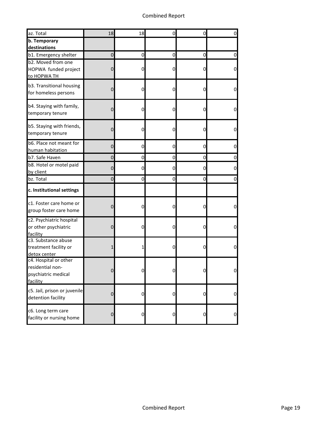| az. Total                                                                    | 18                  | 18             | $\mathbf 0$    | 0 | 0              |
|------------------------------------------------------------------------------|---------------------|----------------|----------------|---|----------------|
| b. Temporary<br>destinations                                                 |                     |                |                |   |                |
| b1. Emergency shelter                                                        | 0                   | 0              | 0              | 0 | 01             |
| b2. Moved from one<br>HOPWA funded project<br>to HOPWA TH                    | 0                   | 0              | 0              | 0 | 0              |
| b3. Transitional housing<br>for homeless persons                             | 0                   | 0              | 0              | 0 | 0              |
| b4. Staying with family,<br>temporary tenure                                 | 0                   | 0              | 0              | 0 | 0              |
| b5. Staying with friends,<br>temporary tenure                                | $\mathsf{O}\xspace$ | 0              | 0              | 0 | 0              |
| b6. Place not meant for<br>human habitation                                  | 0                   | <sub>0</sub>   | $\mathbf 0$    | 0 | 0              |
| b7. Safe Haven                                                               | 0                   | <sub>0</sub>   | $\overline{0}$ | 0 | 0              |
| b8. Hotel or motel paid<br>by client                                         | $\mathbf 0$         | 0              | $\mathbf 0$    | 0 | 0              |
| bz. Total                                                                    | 0                   | 0              | $\mathbf 0$    | 0 | 0              |
| c. Institutional settings                                                    |                     |                |                |   |                |
| c1. Foster care home or<br>group foster care home                            | $\mathsf{O}\xspace$ | 0              | 0              | 0 | 0              |
| c2. Psychiatric hospital<br>or other psychiatric<br>facility                 | $\mathsf{O}\xspace$ | 0              | 0              | 0 | 0              |
| c3. Substance abuse<br>treatment facility or<br>detox center                 | 1                   | 1              | 0              | 0 | 0              |
| c4. Hospital or other<br>residential non-<br>psychiatric medical<br>facility | 0                   | $\mathbf{0}$   | $\overline{0}$ | O | 0              |
| c5. Jail, prison or juvenile<br>detention facility                           | $\pmb{0}$           | $\overline{0}$ | $\overline{0}$ | 0 | $\overline{0}$ |
| c6. Long term care<br>facility or nursing home                               | $\mathbf 0$         | $\overline{0}$ | $\overline{0}$ | 0 | $\overline{0}$ |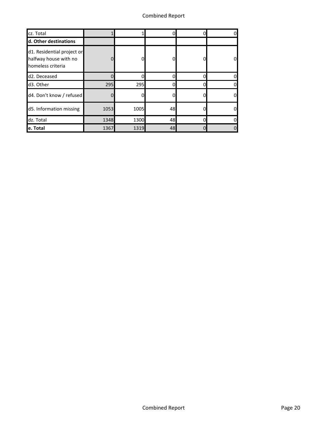| cz. Total                                                                |      |      |    |   |
|--------------------------------------------------------------------------|------|------|----|---|
| d. Other destinations                                                    |      |      |    |   |
| d1. Residential project or<br>halfway house with no<br>homeless criteria |      |      |    | 0 |
| d2. Deceased                                                             |      |      |    | n |
| d3. Other                                                                | 295  | 295  | 0  | 0 |
| d4. Don't know / refused                                                 |      |      |    | 0 |
| d5. Information missing                                                  | 1053 | 1005 | 48 | 0 |
| dz. Total                                                                | 1348 | 1300 | 48 |   |
| e. Total                                                                 | 1367 | 1319 | 48 | 0 |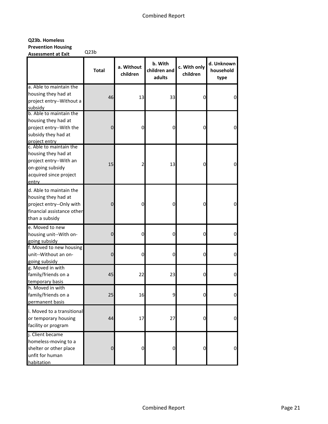# **Q23b. Homeless Prevention Housing**

**Assessment at Exit** Q23b

| Assessment at Exit                                                                                                              | <b>Total</b>   | a. Without<br>children | b. With<br>children and<br>adults | c. With only<br>children | d. Unknown<br>household<br>type |
|---------------------------------------------------------------------------------------------------------------------------------|----------------|------------------------|-----------------------------------|--------------------------|---------------------------------|
| a. Able to maintain the<br>housing they had at<br>project entry--Without a<br>subsidy                                           | 46             | 13                     | 33                                | $\mathbf 0$              | 0                               |
| b. Able to maintain the<br>housing they had at<br>project entry--With the<br>subsidy they had at<br>project entry               | $\overline{0}$ | 0                      | 0                                 | 0                        | 0                               |
| c. Able to maintain the<br>housing they had at<br>project entry--With an<br>on-going subsidy<br>acquired since project<br>entry | 15             | 2                      | 13                                | 0                        | 0                               |
| d. Able to maintain the<br>housing they had at<br>project entry--Only with<br>financial assistance other<br>than a subsidy      | 0              | 0                      | 0                                 | 0                        | 0                               |
| e. Moved to new<br>housing unit--With on-<br>going subsidy                                                                      | $\mathbf 0$    | 0                      | 0                                 | O                        | 0                               |
| f. Moved to new housing<br>unit--Without an on-<br>going subsidy                                                                | $\mathbf 0$    | 0                      | 0                                 | 0                        | 0                               |
| g. Moved in with<br>family/friends on a<br>temporary basis                                                                      | 45             | 22                     | 23                                | 0                        | 0                               |
| h. Moved in with<br>family/friends on a<br>permanent basis                                                                      | 25             | 16                     |                                   |                          |                                 |
| i. Moved to a transitional<br>or temporary housing<br>facility or program                                                       | 44             | 17                     | 27                                | 0                        | 0                               |
| j. Client became<br>homeless-moving to a<br>shelter or other place<br>unfit for human<br>habitation                             | $\overline{0}$ | 0                      | 0                                 | $\overline{0}$           | 0                               |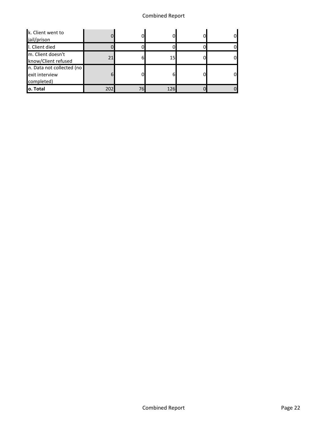# Combined Report

| k. Client went to<br>jail/prison                          | 01               |    |                 |  |
|-----------------------------------------------------------|------------------|----|-----------------|--|
| I. Client died                                            |                  |    |                 |  |
| m. Client doesn't<br>know/Client refused                  | 21               | h  | 15 <sub>l</sub> |  |
| n. Data not collected (no<br>exit interview<br>completed) | $6 \overline{6}$ |    | 6               |  |
| lo. Total                                                 |                  | 76 | 126             |  |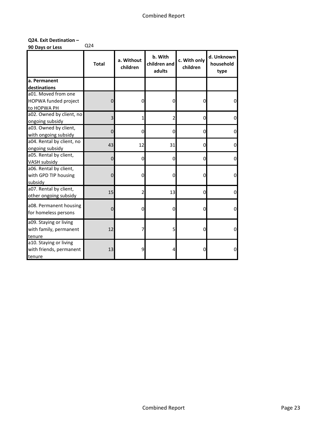### **Q24. Exit Destination –**

**90 Days or Less** Q24

|                           | <b>Total</b> | a. Without<br>children | b. With<br>children and<br>adults | c. With only<br>children | d. Unknown<br>household<br>type |
|---------------------------|--------------|------------------------|-----------------------------------|--------------------------|---------------------------------|
| a. Permanent              |              |                        |                                   |                          |                                 |
| destinations              |              |                        |                                   |                          |                                 |
| a01. Moved from one       |              |                        |                                   |                          |                                 |
| HOPWA funded project      | $\mathbf{0}$ | 0                      | 0                                 | 0                        | 0                               |
| to HOPWA PH               |              |                        |                                   |                          |                                 |
| a02. Owned by client, no  | 3            | $\mathbf{1}$           | $\overline{2}$                    | $\mathbf 0$              | $\Omega$                        |
| ongoing subsidy           |              |                        |                                   |                          |                                 |
| a03. Owned by client,     | $\Omega$     | 0                      | 0                                 | 0                        | 0                               |
| with ongoing subsidy      |              |                        |                                   |                          |                                 |
| a04. Rental by client, no | 43           | 12                     | 31                                | $\mathbf 0$              | 0                               |
| ongoing subsidy           |              |                        |                                   |                          |                                 |
| a05. Rental by client,    | $\Omega$     | $\Omega$               | 0                                 | <sub>0</sub>             | $\Omega$                        |
| <b>VASH subsidy</b>       |              |                        |                                   |                          |                                 |
| a06. Rental by client,    |              |                        |                                   |                          |                                 |
| with GPD TIP housing      | $\mathbf 0$  | 0                      | 0                                 | O                        | $\mathbf 0$                     |
| subsidy                   |              |                        |                                   |                          |                                 |
| a07. Rental by client,    | 15           | $\overline{2}$         | 13                                | 0                        | $\mathbf 0$                     |
| other ongoing subsidy     |              |                        |                                   |                          |                                 |
| a08. Permanent housing    |              |                        |                                   |                          |                                 |
| for homeless persons      | $\Omega$     | $\Omega$               | $\mathbf 0$                       | 0                        | $\Omega$                        |
| a09. Staying or living    |              |                        |                                   |                          |                                 |
| with family, permanent    | 12           | 7                      | 5                                 | 0                        | $\mathbf 0$                     |
| tenure                    |              |                        |                                   |                          |                                 |
| a10. Staying or living    |              |                        |                                   |                          |                                 |
| with friends, permanent   | 13           | 9                      | 4                                 |                          | $\mathbf 0$                     |
| tenure                    |              |                        |                                   |                          |                                 |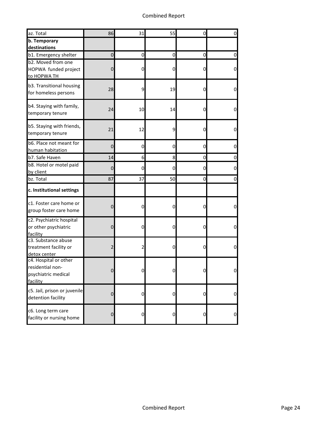# Combined Report

| az. Total                                                                    | 86             | 31                      | 55             | 0 | $\overline{0}$ |
|------------------------------------------------------------------------------|----------------|-------------------------|----------------|---|----------------|
| <b>b.</b> Temporary<br>destinations                                          |                |                         |                |   |                |
| b1. Emergency shelter                                                        | 0              | 0                       | $\overline{0}$ | 0 | 0              |
| b2. Moved from one<br>HOPWA funded project<br>to HOPWA TH                    | 0              | $\overline{0}$          | $\overline{0}$ | 0 | $\overline{0}$ |
| b3. Transitional housing<br>for homeless persons                             | 28             | $\overline{9}$          | 19             | 0 | $\overline{0}$ |
| b4. Staying with family,<br>temporary tenure                                 | 24             | 10                      | 14             | 0 | $\overline{0}$ |
| b5. Staying with friends,<br>temporary tenure                                | 21             | 12                      | 9              | 0 | $\mathbf 0$    |
| b6. Place not meant for<br>human habitation                                  | 0              | 0                       | $\overline{0}$ | 0 | 0              |
| b7. Safe Haven                                                               | 14             | 6                       | 8              | 0 | $\overline{0}$ |
| b8. Hotel or motel paid<br>by client                                         | 0              | 0                       | 0              | 0 | 0              |
| bz. Total                                                                    | 87             | 37                      | 50             | 0 | 0              |
| c. Institutional settings                                                    |                |                         |                |   |                |
| c1. Foster care home or<br>group foster care home                            | 0              | 0                       | 0              | 0 | $\overline{0}$ |
| c2. Psychiatric hospital<br>or other psychiatric<br>facility                 | 0              | $\overline{0}$          | $\overline{0}$ | 0 | $\overline{0}$ |
| c3. Substance abuse<br>treatment facility or<br>detox center                 | 2              | $\overline{\mathbf{c}}$ | 0              | 0 | $\overline{0}$ |
| c4. Hospital or other<br>residential non-<br>psychiatric medical<br>facility | 0              | $\mathbf{0}$            | 0              | 0 | 0              |
| c5. Jail, prison or juvenile<br>detention facility                           | $\pmb{0}$      | $\overline{0}$          | $\overline{0}$ | 0 | $\overline{0}$ |
| c6. Long term care<br>facility or nursing home                               | $\overline{0}$ | $\overline{0}$          | $\overline{0}$ | 0 | $\overline{0}$ |